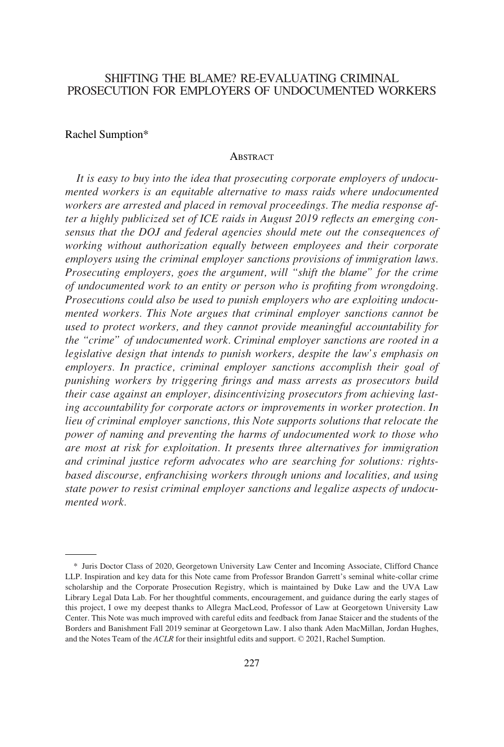# SHIFTING THE BLAME? RE-EVALUATING CRIMINAL PROSECUTION FOR EMPLOYERS OF UNDOCUMENTED WORKERS

#### Rachel Sumption\*

#### **ABSTRACT**

*It is easy to buy into the idea that prosecuting corporate employers of undocumented workers is an equitable alternative to mass raids where undocumented workers are arrested and placed in removal proceedings. The media response after a highly publicized set of ICE raids in August 2019 reflects an emerging consensus that the DOJ and federal agencies should mete out the consequences of working without authorization equally between employees and their corporate employers using the criminal employer sanctions provisions of immigration laws. Prosecuting employers, goes the argument, will "shift the blame" for the crime of undocumented work to an entity or person who is profiting from wrongdoing. Prosecutions could also be used to punish employers who are exploiting undocumented workers. This Note argues that criminal employer sanctions cannot be used to protect workers, and they cannot provide meaningful accountability for the "crime" of undocumented work. Criminal employer sanctions are rooted in a legislative design that intends to punish workers, despite the law's emphasis on*  employers. In practice, criminal employer sanctions accomplish their goal of *punishing workers by triggering firings and mass arrests as prosecutors build their case against an employer, disincentivizing prosecutors from achieving lasting accountability for corporate actors or improvements in worker protection. In lieu of criminal employer sanctions, this Note supports solutions that relocate the power of naming and preventing the harms of undocumented work to those who are most at risk for exploitation. It presents three alternatives for immigration and criminal justice reform advocates who are searching for solutions: rightsbased discourse, enfranchising workers through unions and localities, and using state power to resist criminal employer sanctions and legalize aspects of undocumented work.* 

<sup>\*</sup> Juris Doctor Class of 2020, Georgetown University Law Center and Incoming Associate, Clifford Chance LLP. Inspiration and key data for this Note came from Professor Brandon Garrett's seminal white-collar crime scholarship and the Corporate Prosecution Registry, which is maintained by Duke Law and the UVA Law Library Legal Data Lab. For her thoughtful comments, encouragement, and guidance during the early stages of this project, I owe my deepest thanks to Allegra MacLeod, Professor of Law at Georgetown University Law Center. This Note was much improved with careful edits and feedback from Janae Staicer and the students of the Borders and Banishment Fall 2019 seminar at Georgetown Law. I also thank Aden MacMillan, Jordan Hughes, and the Notes Team of the *ACLR* for their insightful edits and support. © 2021, Rachel Sumption.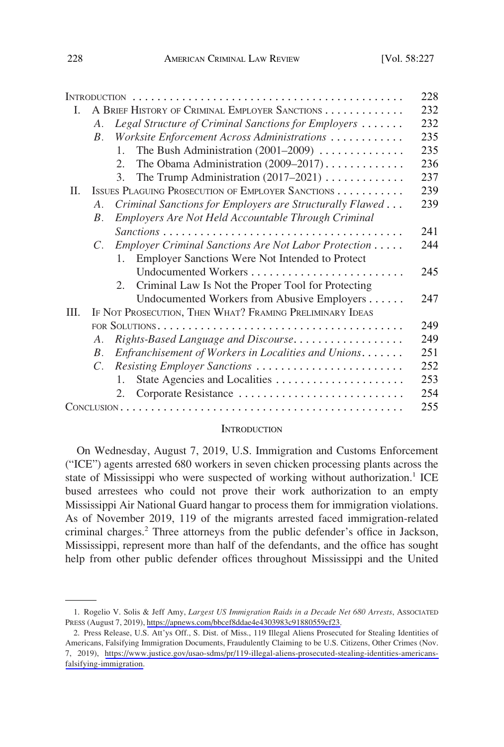|      |                                                          |                                                                         | 228 |
|------|----------------------------------------------------------|-------------------------------------------------------------------------|-----|
| L.   | A BRIEF HISTORY OF CRIMINAL EMPLOYER SANCTIONS           |                                                                         | 232 |
|      | A.                                                       | Legal Structure of Criminal Sanctions for Employers                     | 232 |
|      | $B_{-}$                                                  | Worksite Enforcement Across Administrations                             | 235 |
|      |                                                          | The Bush Administration $(2001-2009)$<br>$\mathbf{1}$ .                 | 235 |
|      |                                                          | The Obama Administration $(2009-2017)$<br>2.                            | 236 |
|      |                                                          | The Trump Administration $(2017-2021)$<br>3.                            | 237 |
| Π.   |                                                          | ISSUES PLAGUING PROSECUTION OF EMPLOYER SANCTIONS                       | 239 |
|      | $A_{\cdot}$                                              | Criminal Sanctions for Employers are Structurally Flawed                | 239 |
|      | <i>B</i> .                                               | Employers Are Not Held Accountable Through Criminal                     |     |
|      |                                                          |                                                                         | 241 |
|      | $C_{\cdot}$                                              | Employer Criminal Sanctions Are Not Labor Protection                    | 244 |
|      |                                                          | Employer Sanctions Were Not Intended to Protect<br>$\mathbf{1}_{\cdot}$ |     |
|      |                                                          |                                                                         | 245 |
|      |                                                          | Criminal Law Is Not the Proper Tool for Protecting<br>2.                |     |
|      |                                                          | Undocumented Workers from Abusive Employers                             | 247 |
| III. | IF NOT PROSECUTION, THEN WHAT? FRAMING PRELIMINARY IDEAS |                                                                         |     |
|      |                                                          |                                                                         | 249 |
|      | A <sub>1</sub>                                           | Rights-Based Language and Discourse                                     | 249 |
|      | $B_{\cdot}$                                              | Enfranchisement of Workers in Localities and Unions                     | 251 |
|      | $C_{\cdot}$                                              | Resisting Employer Sanctions                                            | 252 |
|      |                                                          | State Agencies and Localities<br>$\mathbf{1}$ .                         | 253 |
|      |                                                          | 2.                                                                      | 254 |
|      |                                                          |                                                                         | 255 |

#### **INTRODUCTION**

On Wednesday, August 7, 2019, U.S. Immigration and Customs Enforcement ("ICE") agents arrested 680 workers in seven chicken processing plants across the state of Mississippi who were suspected of working without authorization.<sup>1</sup> ICE bused arrestees who could not prove their work authorization to an empty Mississippi Air National Guard hangar to process them for immigration violations. As of November 2019, 119 of the migrants arrested faced immigration-related criminal charges.<sup>2</sup> Three attorneys from the public defender's office in Jackson, Mississippi, represent more than half of the defendants, and the office has sought help from other public defender offices throughout Mississippi and the United

<sup>1.</sup> Rogelio V. Solis & Jeff Amy, *Largest US Immigration Raids in a Decade Net 680 Arrests*, Associated PRESS (August 7, 2019), [https://apnews.com/bbcef8ddae4e4303983c91880559cf23.](https://apnews.com/bbcef8ddae4e4303983c91880559cf23)

<sup>2.</sup> Press Release, U.S. Att'ys Off., S. Dist. of Miss., 119 Illegal Aliens Prosecuted for Stealing Identities of Americans, Falsifying Immigration Documents, Fraudulently Claiming to be U.S. Citizens, Other Crimes (Nov. 7, 2019), [https://www.justice.gov/usao-sdms/pr/119-illegal-aliens-prosecuted-stealing-identities-americans](https://www.justice.gov/usao-sdms/pr/119-illegal-aliens-prosecuted-stealing-identities-americans-falsifying-immigration)[falsifying-immigration.](https://www.justice.gov/usao-sdms/pr/119-illegal-aliens-prosecuted-stealing-identities-americans-falsifying-immigration)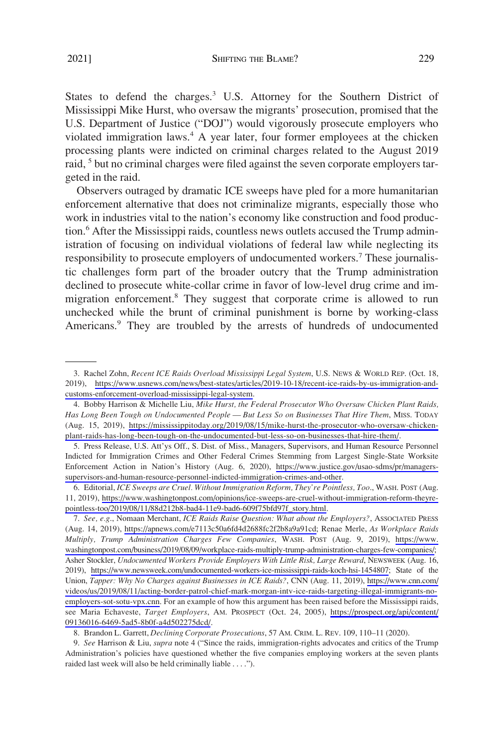States to defend the charges.<sup>3</sup> U.S. Attorney for the Southern District of Mississippi Mike Hurst, who oversaw the migrants' prosecution, promised that the U.S. Department of Justice ("DOJ") would vigorously prosecute employers who violated immigration laws.<sup>4</sup> A year later, four former employees at the chicken processing plants were indicted on criminal charges related to the August 2019 raid, <sup>5</sup> but no criminal charges were filed against the seven corporate employers targeted in the raid.

Observers outraged by dramatic ICE sweeps have pled for a more humanitarian enforcement alternative that does not criminalize migrants, especially those who work in industries vital to the nation's economy like construction and food production.<sup>6</sup> After the Mississippi raids, countless news outlets accused the Trump administration of focusing on individual violations of federal law while neglecting its responsibility to prosecute employers of undocumented workers.<sup>7</sup> These journalistic challenges form part of the broader outcry that the Trump administration declined to prosecute white-collar crime in favor of low-level drug crime and immigration enforcement.8 They suggest that corporate crime is allowed to run unchecked while the brunt of criminal punishment is borne by working-class Americans.<sup>9</sup> They are troubled by the arrests of hundreds of undocumented

Rachel Zohn, *Recent ICE Raids Overload Mississippi Legal System*, U.S. NEWS & WORLD REP. (Oct. 18, 3. 2019), [https://www.usnews.com/news/best-states/articles/2019-10-18/recent-ice-raids-by-us-immigration-and](https://www.usnews.com/news/best-states/articles/2019-10-18/recent-ice-raids-by-us-immigration-and-customs-enforcement-overload-mississippi-legal-system)[customs-enforcement-overload-mississippi-legal-system.](https://www.usnews.com/news/best-states/articles/2019-10-18/recent-ice-raids-by-us-immigration-and-customs-enforcement-overload-mississippi-legal-system)

<sup>4.</sup> Bobby Harrison & Michelle Liu, Mike Hurst, the Federal Prosecutor Who Oversaw Chicken Plant Raids, *Has Long Been Tough on Undocumented People — But Less So on Businesses That Hire Them*, MISS. TODAY (Aug. 15, 2019), [https://mississippitoday.org/2019/08/15/mike-hurst-the-prosecutor-who-oversaw-chicken](https://mississippitoday.org/2019/08/15/mike-hurst-the-prosecutor-who-oversaw-chicken-plant-raids-has-long-been-tough-on-the-undocumented-but-less-so-on-businesses-that-hire-them/)[plant-raids-has-long-been-tough-on-the-undocumented-but-less-so-on-businesses-that-hire-them/.](https://mississippitoday.org/2019/08/15/mike-hurst-the-prosecutor-who-oversaw-chicken-plant-raids-has-long-been-tough-on-the-undocumented-but-less-so-on-businesses-that-hire-them/)

<sup>5.</sup> Press Release, U.S. Att'ys Off., S. Dist. of Miss., Managers, Supervisors, and Human Resource Personnel Indicted for Immigration Crimes and Other Federal Crimes Stemming from Largest Single-State Worksite Enforcement Action in Nation's History (Aug. 6, 2020), [https://www.justice.gov/usao-sdms/pr/managers](https://www.justice.gov/usao-sdms/pr/managers-supervisors-and-human-resource-personnel-indicted-immigration-crimes-and-other)[supervisors-and-human-resource-personnel-indicted-immigration-crimes-and-other](https://www.justice.gov/usao-sdms/pr/managers-supervisors-and-human-resource-personnel-indicted-immigration-crimes-and-other).

Editorial, *ICE Sweeps are Cruel. Without Immigration Reform, They're Pointless, Too*., WASH. POST (Aug. 6. 11, 2019), [https://www.washingtonpost.com/opinions/ice-sweeps-are-cruel-without-immigration-reform-theyre](https://www.washingtonpost.com/opinions/ice-sweeps-are-cruel-without-immigration-reform-theyre-pointless-too/2019/08/11/88d212b8-bad4-11e9-bad6-609f75bfd97f_story.html)[pointless-too/2019/08/11/88d212b8-bad4-11e9-bad6-609f75bfd97f\\_story.html.](https://www.washingtonpost.com/opinions/ice-sweeps-are-cruel-without-immigration-reform-theyre-pointless-too/2019/08/11/88d212b8-bad4-11e9-bad6-609f75bfd97f_story.html)

*See, e.g*., Nomaan Merchant, *ICE Raids Raise Question: What about the Employers?*, ASSOCIATED PRESS 7. (Aug. 14, 2019), <https://apnews.com/e7113c50a6fd4d2688fc2f2b8a9a91cd>; Renae Merle, *As Workplace Raids Multiply, Trump Administration Charges Few Companies*, WASH. POST (Aug. 9, 2019), [https://www.](https://www.washingtonpost.com/business/2019/08/09/workplace-raids-multiply-trump-administration-charges-few-companies/)  [washingtonpost.com/business/2019/08/09/workplace-raids-multiply-trump-administration-charges-few-companies/](https://www.washingtonpost.com/business/2019/08/09/workplace-raids-multiply-trump-administration-charges-few-companies/); Asher Stockler, *Undocumented Workers Provide Employers With Little Risk, Large Reward*, NEWSWEEK (Aug. 16, 2019), [https://www.newsweek.com/undocumented-workers-ice-mississippi-raids-koch-hsi-1454807;](https://www.newsweek.com/undocumented-workers-ice-mississippi-raids-koch-hsi-1454807) State of the Union, *Tapper: Why No Charges against Businesses in ICE Raids?*, CNN (Aug. 11, 2019), [https://www.cnn.com/](https://www.cnn.com/videos/us/2019/08/11/acting-border-patrol-chief-mark-morgan-intv-ice-raids-targeting-illegal-immigrants-no-employers-sot-sotu-vpx.cnn)  [videos/us/2019/08/11/acting-border-patrol-chief-mark-morgan-intv-ice-raids-targeting-illegal-immigrants-no](https://www.cnn.com/videos/us/2019/08/11/acting-border-patrol-chief-mark-morgan-intv-ice-raids-targeting-illegal-immigrants-no-employers-sot-sotu-vpx.cnn)[employers-sot-sotu-vpx.cnn](https://www.cnn.com/videos/us/2019/08/11/acting-border-patrol-chief-mark-morgan-intv-ice-raids-targeting-illegal-immigrants-no-employers-sot-sotu-vpx.cnn). For an example of how this argument has been raised before the Mississippi raids, see Maria Echaveste, *Target Employers*, AM. PROSPECT (Oct. 24, 2005), [https://prospect.org/api/content/](https://prospect.org/api/content/09136016-6469-5ad5-8b0f-a4d502275dcd/) [09136016-6469-5ad5-8b0f-a4d502275dcd/](https://prospect.org/api/content/09136016-6469-5ad5-8b0f-a4d502275dcd/).

<sup>8.</sup> Brandon L. Garrett, *Declining Corporate Prosecutions*, 57 AM. CRIM. L. REV. 109, 110–11 (2020).

<sup>9.</sup> *See* Harrison & Liu, *supra* note 4 ("Since the raids, immigration-rights advocates and critics of the Trump Administration's policies have questioned whether the five companies employing workers at the seven plants raided last week will also be held criminally liable . . . .").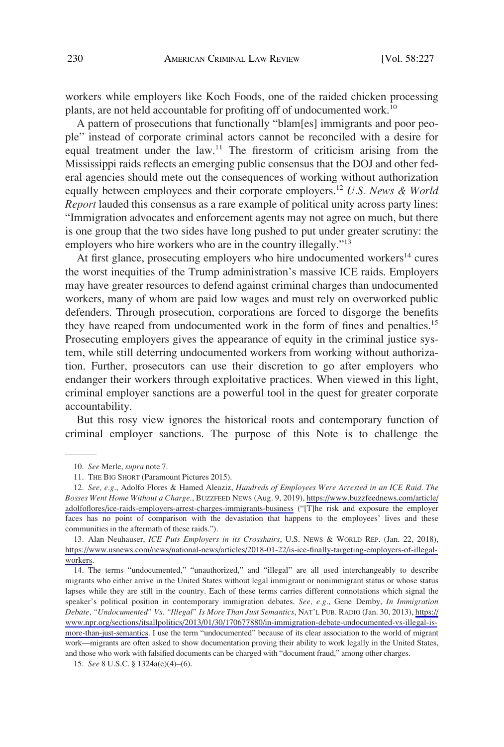workers while employers like Koch Foods, one of the raided chicken processing plants, are not held accountable for profiting off of undocumented work.<sup>10</sup>

A pattern of prosecutions that functionally "blam[es] immigrants and poor people" instead of corporate criminal actors cannot be reconciled with a desire for equal treatment under the law.<sup>11</sup> The firestorm of criticism arising from the Mississippi raids reflects an emerging public consensus that the DOJ and other federal agencies should mete out the consequences of working without authorization equally between employees and their corporate employers.<sup>12</sup> U.S. News & World *Report* lauded this consensus as a rare example of political unity across party lines: "Immigration advocates and enforcement agents may not agree on much, but there is one group that the two sides have long pushed to put under greater scrutiny: the employers who hire workers who are in the country illegally."<sup>13</sup>

At first glance, prosecuting employers who hire undocumented workers<sup>14</sup> cures the worst inequities of the Trump administration's massive ICE raids. Employers may have greater resources to defend against criminal charges than undocumented workers, many of whom are paid low wages and must rely on overworked public defenders. Through prosecution, corporations are forced to disgorge the benefits they have reaped from undocumented work in the form of fines and penalties.<sup>15</sup> Prosecuting employers gives the appearance of equity in the criminal justice system, while still deterring undocumented workers from working without authorization. Further, prosecutors can use their discretion to go after employers who endanger their workers through exploitative practices. When viewed in this light, criminal employer sanctions are a powerful tool in the quest for greater corporate accountability.

But this rosy view ignores the historical roots and contemporary function of criminal employer sanctions. The purpose of this Note is to challenge the

<sup>10.</sup> *See* Merle, *supra* note 7.

<sup>11.</sup> THE BIG SHORT (Paramount Pictures 2015).

*See, e.g*., Adolfo Flores & Hamed Aleaziz, *Hundreds of Employees Were Arrested in an ICE Raid. The*  12. *Bosses Went Home Without a Charge*., BUZZFEED NEWS (Aug. 9, 2019), [https://www.buzzfeednews.com/article/](https://www.buzzfeednews.com/article/adolfoflores/ice-raids-employers-arrest-charges-immigrants-business) [adolfoflores/ice-raids-employers-arrest-charges-immigrants-business](https://www.buzzfeednews.com/article/adolfoflores/ice-raids-employers-arrest-charges-immigrants-business) ("[T]he risk and exposure the employer faces has no point of comparison with the devastation that happens to the employees' lives and these communities in the aftermath of these raids.").

<sup>13.</sup> Alan Neuhauser, *ICE Puts Employers in its Crosshairs*, U.S. NEWS & WORLD REP. (Jan. 22, 2018), [https://www.usnews.com/news/national-news/articles/2018-01-22/is-ice-finally-targeting-employers-of-illegal](https://www.usnews.com/news/national-news/articles/2018-01-22/is-ice-finally-targeting-employers-of-illegal-workers)[workers.](https://www.usnews.com/news/national-news/articles/2018-01-22/is-ice-finally-targeting-employers-of-illegal-workers)

<sup>14.</sup> The terms "undocumented," "unauthorized," and "illegal" are all used interchangeably to describe migrants who either arrive in the United States without legal immigrant or nonimmigrant status or whose status lapses while they are still in the country. Each of these terms carries different connotations which signal the speaker's political position in contemporary immigration debates. *See, e.g*., Gene Demby, *In Immigration Debate, "Undocumented" Vs. "Illegal" Is More Than Just Semantics*, NAT'L PUB. RADIO (Jan. 30, 2013), [https://](https://www.npr.org/sections/itsallpolitics/2013/01/30/170677880/in-immigration-debate-undocumented-vs-illegal-is-more-than-just-semantics) [www.npr.org/sections/itsallpolitics/2013/01/30/170677880/in-immigration-debate-undocumented-vs-illegal-is](https://www.npr.org/sections/itsallpolitics/2013/01/30/170677880/in-immigration-debate-undocumented-vs-illegal-is-more-than-just-semantics)[more-than-just-semantics.](https://www.npr.org/sections/itsallpolitics/2013/01/30/170677880/in-immigration-debate-undocumented-vs-illegal-is-more-than-just-semantics) I use the term "undocumented" because of its clear association to the world of migrant work—migrants are often asked to show documentation proving their ability to work legally in the United States, and those who work with falsified documents can be charged with "document fraud," among other charges.

<sup>15.</sup> *See* 8 U.S.C. § 1324a(e)(4)–(6).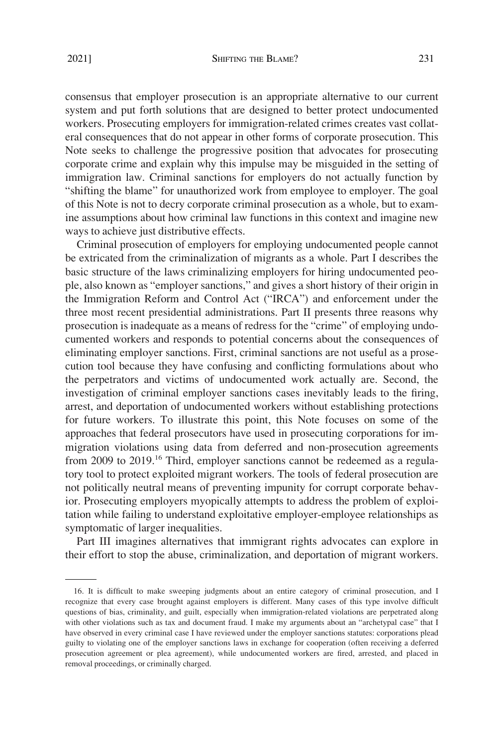consensus that employer prosecution is an appropriate alternative to our current system and put forth solutions that are designed to better protect undocumented workers. Prosecuting employers for immigration-related crimes creates vast collateral consequences that do not appear in other forms of corporate prosecution. This Note seeks to challenge the progressive position that advocates for prosecuting corporate crime and explain why this impulse may be misguided in the setting of immigration law. Criminal sanctions for employers do not actually function by "shifting the blame" for unauthorized work from employee to employer. The goal of this Note is not to decry corporate criminal prosecution as a whole, but to examine assumptions about how criminal law functions in this context and imagine new ways to achieve just distributive effects.

Criminal prosecution of employers for employing undocumented people cannot be extricated from the criminalization of migrants as a whole. Part I describes the basic structure of the laws criminalizing employers for hiring undocumented people, also known as "employer sanctions," and gives a short history of their origin in the Immigration Reform and Control Act ("IRCA") and enforcement under the three most recent presidential administrations. Part II presents three reasons why prosecution is inadequate as a means of redress for the "crime" of employing undocumented workers and responds to potential concerns about the consequences of eliminating employer sanctions. First, criminal sanctions are not useful as a prosecution tool because they have confusing and conflicting formulations about who the perpetrators and victims of undocumented work actually are. Second, the investigation of criminal employer sanctions cases inevitably leads to the firing, arrest, and deportation of undocumented workers without establishing protections for future workers. To illustrate this point, this Note focuses on some of the approaches that federal prosecutors have used in prosecuting corporations for immigration violations using data from deferred and non-prosecution agreements from 2009 to 2019.<sup>16</sup> Third, employer sanctions cannot be redeemed as a regulatory tool to protect exploited migrant workers. The tools of federal prosecution are not politically neutral means of preventing impunity for corrupt corporate behavior. Prosecuting employers myopically attempts to address the problem of exploitation while failing to understand exploitative employer-employee relationships as symptomatic of larger inequalities.

Part III imagines alternatives that immigrant rights advocates can explore in their effort to stop the abuse, criminalization, and deportation of migrant workers.

<sup>16.</sup> It is difficult to make sweeping judgments about an entire category of criminal prosecution, and I recognize that every case brought against employers is different. Many cases of this type involve difficult questions of bias, criminality, and guilt, especially when immigration-related violations are perpetrated along with other violations such as tax and document fraud. I make my arguments about an "archetypal case" that I have observed in every criminal case I have reviewed under the employer sanctions statutes: corporations plead guilty to violating one of the employer sanctions laws in exchange for cooperation (often receiving a deferred prosecution agreement or plea agreement), while undocumented workers are fired, arrested, and placed in removal proceedings, or criminally charged.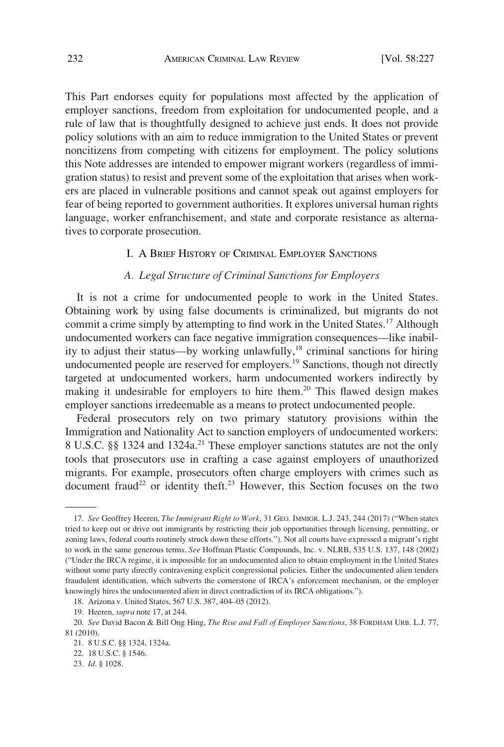<span id="page-5-0"></span>This Part endorses equity for populations most affected by the application of employer sanctions, freedom from exploitation for undocumented people, and a rule of law that is thoughtfully designed to achieve just ends. It does not provide policy solutions with an aim to reduce immigration to the United States or prevent noncitizens from competing with citizens for employment. The policy solutions this Note addresses are intended to empower migrant workers (regardless of immigration status) to resist and prevent some of the exploitation that arises when workers are placed in vulnerable positions and cannot speak out against employers for fear of being reported to government authorities. It explores universal human rights language, worker enfranchisement, and state and corporate resistance as alternatives to corporate prosecution.

## I. A BRIEF HISTORY OF CRIMINAL EMPLOYER SANCTIONS

## *A. Legal Structure of Criminal Sanctions for Employers*

It is not a crime for undocumented people to work in the United States. Obtaining work by using false documents is criminalized, but migrants do not commit a crime simply by attempting to find work in the United States.<sup>17</sup> Although undocumented workers can face negative immigration consequences—like inability to adjust their status—by working unlawfully,<sup>18</sup> criminal sanctions for hiring undocumented people are reserved for employers.<sup>19</sup> Sanctions, though not directly targeted at undocumented workers, harm undocumented workers indirectly by making it undesirable for employers to hire them.<sup>20</sup> This flawed design makes employer sanctions irredeemable as a means to protect undocumented people.

Federal prosecutors rely on two primary statutory provisions within the Immigration and Nationality Act to sanction employers of undocumented workers: 8 U.S.C. §§ 1324 and 1324a.<sup>21</sup> These employer sanctions statutes are not the only tools that prosecutors use in crafting a case against employers of unauthorized migrants. For example, prosecutors often charge employers with crimes such as document fraud<sup>22</sup> or identity theft.<sup>23</sup> However, this Section focuses on the two

<sup>17.</sup> *See* Geoffrey Heeren, *The Immigrant Right to Work*, 31 GEO. IMMIGR. L.J. 243, 244 (2017) ("When states tried to keep out or drive out immigrants by restricting their job opportunities through licensing, permitting, or zoning laws, federal courts routinely struck down these efforts."). Not all courts have expressed a migrant's right to work in the same generous terms. *See* Hoffman Plastic Compounds, Inc. v. NLRB, 535 U.S. 137, 148 (2002) ("Under the IRCA regime, it is impossible for an undocumented alien to obtain employment in the United States without some party directly contravening explicit congressional policies. Either the undocumented alien tenders fraudulent identification, which subverts the cornerstone of IRCA's enforcement mechanism, or the employer knowingly hires the undocumented alien in direct contradiction of its IRCA obligations.").

<sup>18.</sup> Arizona v. United States, 567 U.S. 387, 404–05 (2012).

<sup>19.</sup> Heeren, *supra* note 17, at 244.

<sup>20.</sup> *See* David Bacon & Bill Ong Hing, *The Rise and Fall of Employer Sanctions*, 38 FORDHAM URB. L.J. 77, 81 (2010).

<sup>21. 8</sup> U.S.C. §§ 1324, 1324a.

<sup>22. 18</sup> U.S.C. § 1546.

<sup>23.</sup> *Id*. § 1028.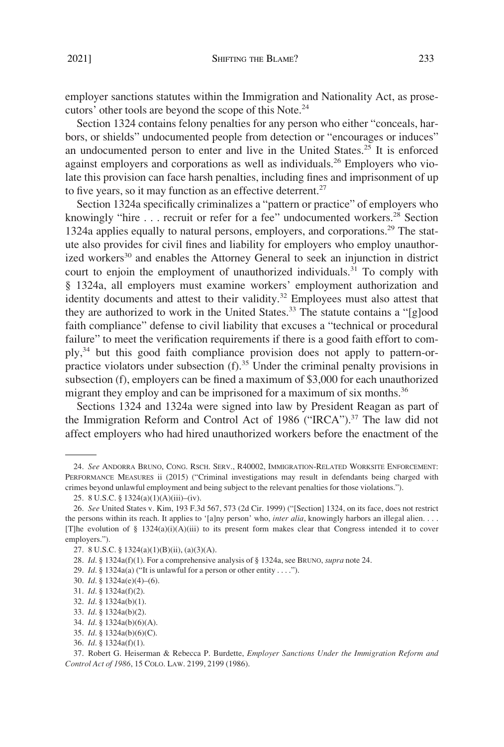employer sanctions statutes within the Immigration and Nationality Act, as prosecutors' other tools are beyond the scope of this Note.24

Section 1324 contains felony penalties for any person who either "conceals, harbors, or shields" undocumented people from detection or "encourages or induces" an undocumented person to enter and live in the United States.<sup>25</sup> It is enforced against employers and corporations as well as individuals.<sup>26</sup> Employers who violate this provision can face harsh penalties, including fines and imprisonment of up to five years, so it may function as an effective deterrent.<sup>27</sup>

Section 1324a specifically criminalizes a "pattern or practice" of employers who knowingly "hire . . . recruit or refer for a fee" undocumented workers.<sup>28</sup> Section 1324a applies equally to natural persons, employers, and corporations.29 The statute also provides for civil fines and liability for employers who employ unauthorized workers<sup>30</sup> and enables the Attorney General to seek an injunction in district court to enjoin the employment of unauthorized individuals.<sup>31</sup> To comply with § 1324a, all employers must examine workers' employment authorization and identity documents and attest to their validity.<sup>32</sup> Employees must also attest that they are authorized to work in the United States.<sup>33</sup> The statute contains a "[g]ood faith compliance" defense to civil liability that excuses a "technical or procedural failure" to meet the verification requirements if there is a good faith effort to comply,34 but this good faith compliance provision does not apply to pattern-orpractice violators under subsection  $(f)$ .<sup>35</sup> Under the criminal penalty provisions in subsection (f), employers can be fined a maximum of \$3,000 for each unauthorized migrant they employ and can be imprisoned for a maximum of six months.<sup>36</sup>

Sections 1324 and 1324a were signed into law by President Reagan as part of the Immigration Reform and Control Act of 1986 ("IRCA").<sup>37</sup> The law did not affect employers who had hired unauthorized workers before the enactment of the

<sup>24.</sup> *See* ANDORRA BRUNO, CONG. RSCH. SERV., R40002, IMMIGRATION-RELATED WORKSITE ENFORCEMENT: PERFORMANCE MEASURES ii (2015) ("Criminal investigations may result in defendants being charged with crimes beyond unlawful employment and being subject to the relevant penalties for those violations.").

<sup>25. 8</sup> U.S.C. § 1324(a)(1)(A)(iii)–(iv).

<sup>26.</sup> *See* United States v. Kim, 193 F.3d 567, 573 (2d Cir. 1999) ("[Section] 1324, on its face, does not restrict the persons within its reach. It applies to '[a]ny person' who, *inter alia*, knowingly harbors an illegal alien. . . . [T]he evolution of § 1324(a)(i)(A)(iii) to its present form makes clear that Congress intended it to cover employers.").

<sup>27. 8</sup> U.S.C. § 1324(a)(1)(B)(ii), (a)(3)(A).

<sup>28.</sup> *Id*. § 1324a(f)(1). For a comprehensive analysis of § 1324a, see BRUNO, *supra* note 24.

<sup>29.</sup> *Id*. § 1324a(a) ("It is unlawful for a person or other entity . . . .").

<sup>30.</sup> *Id*. § 1324a(e)(4)–(6).

<sup>31.</sup> *Id*. § 1324a(f)(2).

<sup>32.</sup> *Id*. § 1324a(b)(1).

<sup>33.</sup> *Id*. § 1324a(b)(2).

<sup>34.</sup> *Id*. § 1324a(b)(6)(A).

<sup>35.</sup> *Id*. § 1324a(b)(6)(C).

<sup>36.</sup> *Id*. § 1324a(f)(1).

<sup>37.</sup> Robert G. Heiserman & Rebecca P. Burdette, *Employer Sanctions Under the Immigration Reform and Control Act of 1986*, 15 COLO. LAW. 2199, 2199 (1986).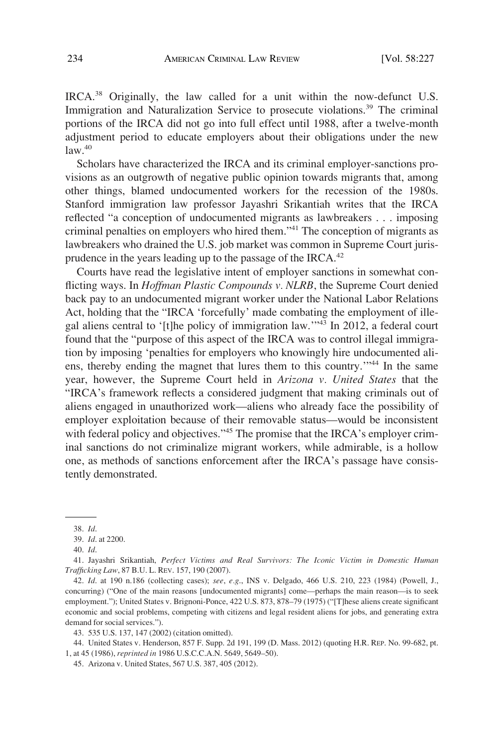IRCA.38 Originally, the law called for a unit within the now-defunct U.S. Immigration and Naturalization Service to prosecute violations.<sup>39</sup> The criminal portions of the IRCA did not go into full effect until 1988, after a twelve-month adjustment period to educate employers about their obligations under the new  $law.<sup>40</sup>$ 

Scholars have characterized the IRCA and its criminal employer-sanctions provisions as an outgrowth of negative public opinion towards migrants that, among other things, blamed undocumented workers for the recession of the 1980s. Stanford immigration law professor Jayashri Srikantiah writes that the IRCA reflected "a conception of undocumented migrants as lawbreakers . . . imposing criminal penalties on employers who hired them."41 The conception of migrants as lawbreakers who drained the U.S. job market was common in Supreme Court jurisprudence in the years leading up to the passage of the IRCA. $42$ 

Courts have read the legislative intent of employer sanctions in somewhat conflicting ways. In *Hoffman Plastic Compounds v. NLRB*, the Supreme Court denied back pay to an undocumented migrant worker under the National Labor Relations Act, holding that the "IRCA 'forcefully' made combating the employment of illegal aliens central to '[t]he policy of immigration law.'"43 In 2012, a federal court found that the "purpose of this aspect of the IRCA was to control illegal immigration by imposing 'penalties for employers who knowingly hire undocumented aliens, thereby ending the magnet that lures them to this country.<sup>"44</sup> In the same year, however, the Supreme Court held in *Arizona v. United States* that the "IRCA's framework reflects a considered judgment that making criminals out of aliens engaged in unauthorized work—aliens who already face the possibility of employer exploitation because of their removable status—would be inconsistent with federal policy and objectives."<sup>45</sup> The promise that the IRCA's employer criminal sanctions do not criminalize migrant workers, while admirable, is a hollow one, as methods of sanctions enforcement after the IRCA's passage have consistently demonstrated.

44. United States v. Henderson, 857 F. Supp. 2d 191, 199 (D. Mass. 2012) (quoting H.R. REP. No. 99-682, pt. 1, at 45 (1986), *reprinted in* 1986 U.S.C.C.A.N. 5649, 5649–50).

<sup>38.</sup> *Id*.

<sup>39.</sup> *Id*. at 2200.

<sup>40.</sup> *Id*.

<sup>41.</sup> Jayashri Srikantiah, *Perfect Victims and Real Survivors: The Iconic Victim in Domestic Human Trafficking Law*, 87 B.U. L. REV. 157, 190 (2007).

<sup>42.</sup> *Id*. at 190 n.186 (collecting cases); *see*, *e.g*., INS v. Delgado, 466 U.S. 210, 223 (1984) (Powell, J., concurring) ("One of the main reasons [undocumented migrants] come—perhaps the main reason—is to seek employment."); United States v. Brignoni-Ponce, 422 U.S. 873, 878–79 (1975) ("[T]hese aliens create significant economic and social problems, competing with citizens and legal resident aliens for jobs, and generating extra demand for social services.").

<sup>43. 535</sup> U.S. 137, 147 (2002) (citation omitted).

<sup>45.</sup> Arizona v. United States, 567 U.S. 387, 405 (2012).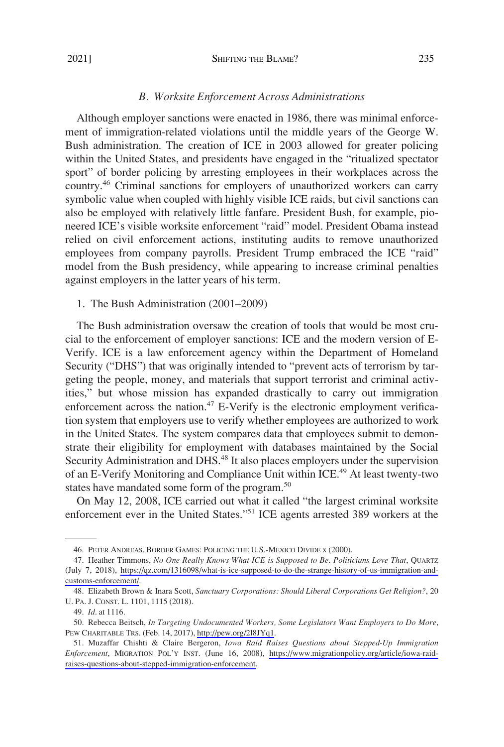### *B. Worksite Enforcement Across Administrations*

<span id="page-8-0"></span>Although employer sanctions were enacted in 1986, there was minimal enforcement of immigration-related violations until the middle years of the George W. Bush administration. The creation of ICE in 2003 allowed for greater policing within the United States, and presidents have engaged in the "ritualized spectator sport" of border policing by arresting employees in their workplaces across the country.46 Criminal sanctions for employers of unauthorized workers can carry symbolic value when coupled with highly visible ICE raids, but civil sanctions can also be employed with relatively little fanfare. President Bush, for example, pioneered ICE's visible worksite enforcement "raid" model. President Obama instead relied on civil enforcement actions, instituting audits to remove unauthorized employees from company payrolls. President Trump embraced the ICE "raid" model from the Bush presidency, while appearing to increase criminal penalties against employers in the latter years of his term.

1. The Bush Administration (2001–2009)

The Bush administration oversaw the creation of tools that would be most crucial to the enforcement of employer sanctions: ICE and the modern version of E-Verify. ICE is a law enforcement agency within the Department of Homeland Security ("DHS") that was originally intended to "prevent acts of terrorism by targeting the people, money, and materials that support terrorist and criminal activities," but whose mission has expanded drastically to carry out immigration enforcement across the nation.<sup>47</sup> E-Verify is the electronic employment verification system that employers use to verify whether employees are authorized to work in the United States. The system compares data that employees submit to demonstrate their eligibility for employment with databases maintained by the Social Security Administration and DHS.<sup>48</sup> It also places employers under the supervision of an E-Verify Monitoring and Compliance Unit within ICE.49 At least twenty-two states have mandated some form of the program.<sup>50</sup>

On May 12, 2008, ICE carried out what it called "the largest criminal worksite enforcement ever in the United States."51 ICE agents arrested 389 workers at the

<sup>46.</sup> PETER ANDREAS, BORDER GAMES: POLICING THE U.S.-MEXICO DIVIDE x (2000).

<sup>47.</sup> Heather Timmons, *No One Really Knows What ICE is Supposed to Be. Politicians Love That*, QUARTZ (July 7, 2018), [https://qz.com/1316098/what-is-ice-supposed-to-do-the-strange-history-of-us-immigration-and](https://qz.com/1316098/what-is-ice-supposed-to-do-the-strange-history-of-us-immigration-and-customs-enforcement/)[customs-enforcement/](https://qz.com/1316098/what-is-ice-supposed-to-do-the-strange-history-of-us-immigration-and-customs-enforcement/).

<sup>48.</sup> Elizabeth Brown & Inara Scott, *Sanctuary Corporations: Should Liberal Corporations Get Religion?*, 20 U. PA. J. CONST. L. 1101, 1115 (2018).

<sup>49.</sup> *Id*. at 1116.

<sup>50.</sup> Rebecca Beitsch, *In Targeting Undocumented Workers, Some Legislators Want Employers to Do More*, PEW CHARITABLE TRS. (Feb. 14, 2017),<http://pew.org/2l8JYq1>.

<sup>51.</sup> Muzaffar Chishti & Claire Bergeron, Iowa Raid Raises Questions about Stepped-Up Immigration *Enforcement*, MIGRATION POL'Y INST. (June 16, 2008), [https://www.migrationpolicy.org/article/iowa-raid](https://www.migrationpolicy.org/article/iowa-raid-raises-questions-about-stepped-immigration-enforcement)[raises-questions-about-stepped-immigration-enforcement.](https://www.migrationpolicy.org/article/iowa-raid-raises-questions-about-stepped-immigration-enforcement)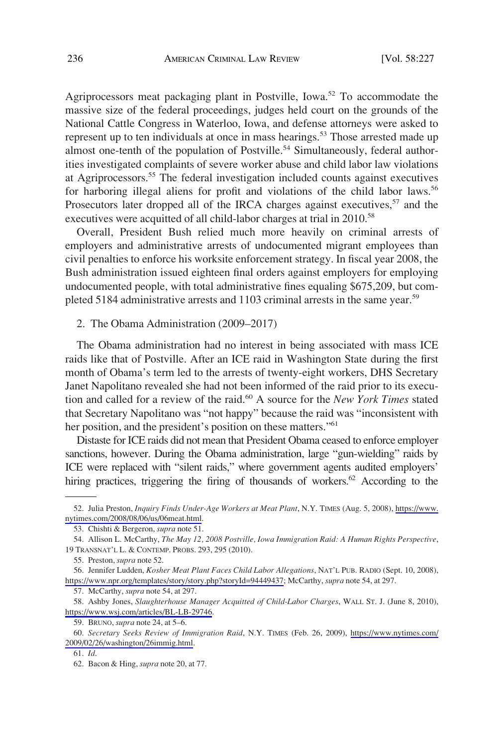<span id="page-9-0"></span>Agriprocessors meat packaging plant in Postville, Iowa.<sup>52</sup> To accommodate the massive size of the federal proceedings, judges held court on the grounds of the National Cattle Congress in Waterloo, Iowa, and defense attorneys were asked to represent up to ten individuals at once in mass hearings.<sup>53</sup> Those arrested made up almost one-tenth of the population of Postville.<sup>54</sup> Simultaneously, federal authorities investigated complaints of severe worker abuse and child labor law violations at Agriprocessors.55 The federal investigation included counts against executives for harboring illegal aliens for profit and violations of the child labor laws.<sup>56</sup> Prosecutors later dropped all of the IRCA charges against executives,  $57$  and the executives were acquitted of all child-labor charges at trial in 2010.<sup>58</sup>

Overall, President Bush relied much more heavily on criminal arrests of employers and administrative arrests of undocumented migrant employees than civil penalties to enforce his worksite enforcement strategy. In fiscal year 2008, the Bush administration issued eighteen final orders against employers for employing undocumented people, with total administrative fines equaling \$675,209, but completed 5184 administrative arrests and 1103 criminal arrests in the same year.<sup>59</sup>

2. The Obama Administration (2009–2017)

The Obama administration had no interest in being associated with mass ICE raids like that of Postville. After an ICE raid in Washington State during the first month of Obama's term led to the arrests of twenty-eight workers, DHS Secretary Janet Napolitano revealed she had not been informed of the raid prior to its execution and called for a review of the raid.60 A source for the *New York Times* stated that Secretary Napolitano was "not happy" because the raid was "inconsistent with her position, and the president's position on these matters."<sup>61</sup>

Distaste for ICE raids did not mean that President Obama ceased to enforce employer sanctions, however. During the Obama administration, large "gun-wielding" raids by ICE were replaced with "silent raids," where government agents audited employers' hiring practices, triggering the firing of thousands of workers.<sup>62</sup> According to the

57. McCarthy, *supra* note 54, at 297.

<sup>52.</sup> Julia Preston, *Inquiry Finds Under-Age Workers at Meat Plant*, N.Y. TIMES (Aug. 5, 2008), https://www. [nytimes.com/2008/08/06/us/06meat.html.](https://www.nytimes.com/2008/08/06/us/06meat.html)

<sup>53.</sup> Chishti & Bergeron, *supra* note 51.

<sup>54.</sup> Allison L. McCarthy, *The May 12, 2008 Postville, Iowa Immigration Raid: A Human Rights Perspective*, 19 TRANSNAT'L L. & CONTEMP. PROBS. 293, 295 (2010).

<sup>55.</sup> Preston, *supra* note 52.

<sup>56.</sup> Jennifer Ludden, *Kosher Meat Plant Faces Child Labor Allegations*, NAT'L PUB. RADIO (Sept. 10, 2008), [https://www.npr.org/templates/story/story.php?storyId=94449437;](https://www.npr.org/templates/story/story.php?storyId=94449437) McCarthy, *supra* note 54, at 297.

<sup>58.</sup> Ashby Jones, *Slaughterhouse Manager Acquitted of Child-Labor Charges*, WALL ST. J. (June 8, 2010), [https://www.wsj.com/articles/BL-LB-29746.](https://www.wsj.com/articles/BL-LB-29746)

<sup>59.</sup> BRUNO, *supra* note 24, at 5–6.

*Secretary Seeks Review of Immigration Raid*, N.Y. TIMES (Feb. 26, 2009), [https://www.nytimes.com/](https://www.nytimes.com/2009/02/26/washington/26immig.html) 60. [2009/02/26/washington/26immig.html](https://www.nytimes.com/2009/02/26/washington/26immig.html).

<sup>61.</sup> *Id*.

<sup>62.</sup> Bacon & Hing, *supra* note 20, at 77.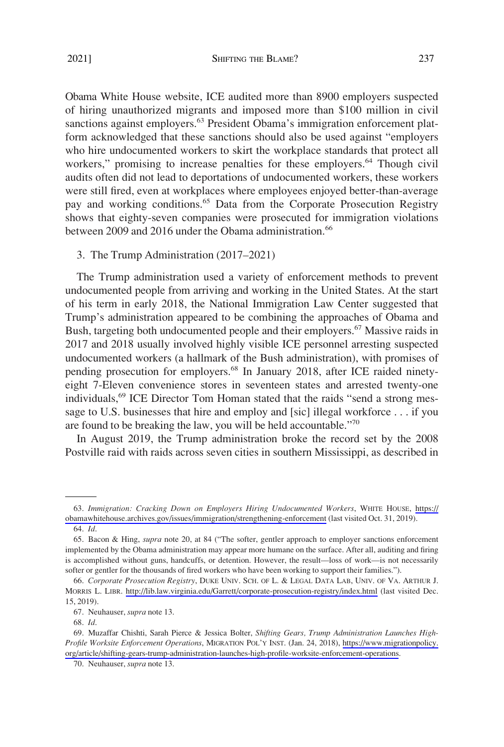<span id="page-10-0"></span>Obama White House website, ICE audited more than 8900 employers suspected of hiring unauthorized migrants and imposed more than \$100 million in civil sanctions against employers.<sup>63</sup> President Obama's immigration enforcement platform acknowledged that these sanctions should also be used against "employers who hire undocumented workers to skirt the workplace standards that protect all workers," promising to increase penalties for these employers.<sup>64</sup> Though civil audits often did not lead to deportations of undocumented workers, these workers were still fired, even at workplaces where employees enjoyed better-than-average pay and working conditions.<sup>65</sup> Data from the Corporate Prosecution Registry shows that eighty-seven companies were prosecuted for immigration violations between 2009 and 2016 under the Obama administration.<sup>66</sup>

### 3. The Trump Administration (2017*–*2021)

The Trump administration used a variety of enforcement methods to prevent undocumented people from arriving and working in the United States. At the start of his term in early 2018, the National Immigration Law Center suggested that Trump's administration appeared to be combining the approaches of Obama and Bush, targeting both undocumented people and their employers.<sup>67</sup> Massive raids in 2017 and 2018 usually involved highly visible ICE personnel arresting suspected undocumented workers (a hallmark of the Bush administration), with promises of pending prosecution for employers.68 In January 2018, after ICE raided ninetyeight 7-Eleven convenience stores in seventeen states and arrested twenty-one individuals,<sup>69</sup> ICE Director Tom Homan stated that the raids "send a strong message to U.S. businesses that hire and employ and [sic] illegal workforce . . . if you are found to be breaking the law, you will be held accountable."<sup>70</sup>

In August 2019, the Trump administration broke the record set by the 2008 Postville raid with raids across seven cities in southern Mississippi, as described in

*Immigration: Cracking Down on Employers Hiring Undocumented Workers*, WHITE HOUSE, [https://](https://obamawhitehouse.archives.gov/issues/immigration/strengthening-enforcement) 63. [obamawhitehouse.archives.gov/issues/immigration/strengthening-enforcement](https://obamawhitehouse.archives.gov/issues/immigration/strengthening-enforcement) (last visited Oct. 31, 2019). 64. *Id*.

<sup>65.</sup> Bacon & Hing, *supra* note 20, at 84 ("The softer, gentler approach to employer sanctions enforcement implemented by the Obama administration may appear more humane on the surface. After all, auditing and firing is accomplished without guns, handcuffs, or detention. However, the result––loss of work––is not necessarily softer or gentler for the thousands of fired workers who have been working to support their families.").

*Corporate Prosecution Registry*, DUKE UNIV. SCH. OF L. & LEGAL DATA LAB, UNIV. OF VA. ARTHUR J. 66. MORRIS L. LIBR. <http://lib.law.virginia.edu/Garrett/corporate-prosecution-registry/index.html> (last visited Dec. 15, 2019).

<sup>67.</sup> Neuhauser, *supra* note 13.

<sup>68.</sup> *Id*.

Muzaffar Chishti, Sarah Pierce & Jessica Bolter, *Shifting Gears, Trump Administration Launches High-*69. *Profile Worksite Enforcement Operations*, MIGRATION POL'Y INST. (Jan. 24, 2018), [https://www.migrationpolicy.](https://www.migrationpolicy.org/article/shifting-gears-trump-administration-launches-high-profile-worksite-enforcement-operations)  [org/article/shifting-gears-trump-administration-launches-high-profile-worksite-enforcement-operations.](https://www.migrationpolicy.org/article/shifting-gears-trump-administration-launches-high-profile-worksite-enforcement-operations)

<sup>70.</sup> Neuhauser, *supra* note 13.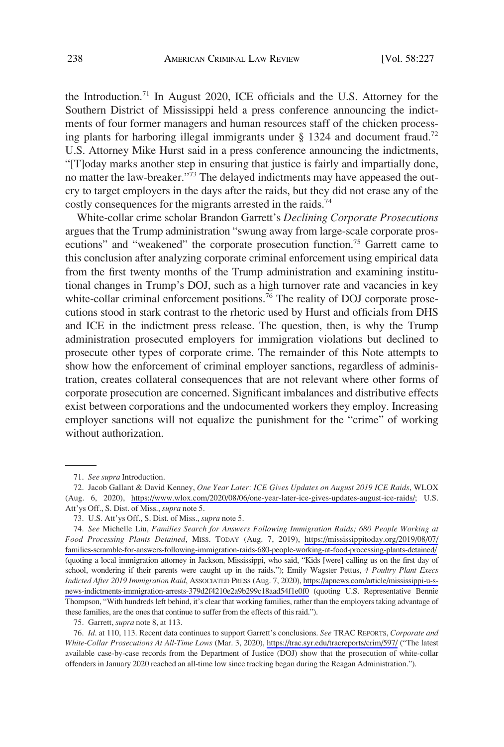the Introduction.71 In August 2020, ICE officials and the U.S. Attorney for the Southern District of Mississippi held a press conference announcing the indictments of four former managers and human resources staff of the chicken processing plants for harboring illegal immigrants under  $\S$  1324 and document fraud.<sup>72</sup> U.S. Attorney Mike Hurst said in a press conference announcing the indictments, "[T]oday marks another step in ensuring that justice is fairly and impartially done, no matter the law-breaker."<sup>73</sup> The delayed indictments may have appeased the outcry to target employers in the days after the raids, but they did not erase any of the costly consequences for the migrants arrested in the raids.<sup>74</sup>

White-collar crime scholar Brandon Garrett's *Declining Corporate Prosecutions*  argues that the Trump administration "swung away from large-scale corporate prosecutions" and "weakened" the corporate prosecution function.<sup>75</sup> Garrett came to this conclusion after analyzing corporate criminal enforcement using empirical data from the first twenty months of the Trump administration and examining institutional changes in Trump's DOJ, such as a high turnover rate and vacancies in key white-collar criminal enforcement positions.<sup>76</sup> The reality of DOJ corporate prosecutions stood in stark contrast to the rhetoric used by Hurst and officials from DHS and ICE in the indictment press release. The question, then, is why the Trump administration prosecuted employers for immigration violations but declined to prosecute other types of corporate crime. The remainder of this Note attempts to show how the enforcement of criminal employer sanctions, regardless of administration, creates collateral consequences that are not relevant where other forms of corporate prosecution are concerned. Significant imbalances and distributive effects exist between corporations and the undocumented workers they employ. Increasing employer sanctions will not equalize the punishment for the "crime" of working without authorization.

75. Garrett, *supra* note 8, at 113.

<sup>71.</sup> *See supra* Introduction.

<sup>72.</sup> Jacob Gallant & David Kenney, One Year Later: ICE Gives Updates on August 2019 ICE Raids, WLOX (Aug. 6, 2020), <https://www.wlox.com/2020/08/06/one-year-later-ice-gives-updates-august-ice-raids/>; U.S. Att'ys Off., S. Dist. of Miss., *supra* note 5.

<sup>73.</sup> U.S. Att'ys Off., S. Dist. of Miss., *supra* note 5.

*See* Michelle Liu, *Families Search for Answers Following Immigration Raids; 680 People Working at*  74. *Food Processing Plants Detained*, MISS. TODAY (Aug. 7, 2019), [https://mississippitoday.org/2019/08/07/](https://mississippitoday.org/2019/08/07/families-scramble-for-answers-following-immigration-raids-680-people-working-at-food-processing-plants-detained/)  [families-scramble-for-answers-following-immigration-raids-680-people-working-at-food-processing-plants-detained/](https://mississippitoday.org/2019/08/07/families-scramble-for-answers-following-immigration-raids-680-people-working-at-food-processing-plants-detained/) (quoting a local immigration attorney in Jackson, Mississippi, who said, "Kids [were] calling us on the first day of school, wondering if their parents were caught up in the raids."); Emily Wagster Pettus, *4 Poultry Plant Execs Indicted After 2019 Immigration Raid*, ASSOCIATED PRESS (Aug. 7, 2020), [https://apnews.com/article/mississippi-u-s](https://apnews.com/article/mississippi-u-s-news-indictments-immigration-arrests-379d2f4210e2a9b299c18aad54f1e0f0)[news-indictments-immigration-arrests-379d2f4210e2a9b299c18aad54f1e0f0](https://apnews.com/article/mississippi-u-s-news-indictments-immigration-arrests-379d2f4210e2a9b299c18aad54f1e0f0) (quoting U.S. Representative Bennie Thompson, "With hundreds left behind, it's clear that working families, rather than the employers taking advantage of these families, are the ones that continue to suffer from the effects of this raid.").

*Id*. at 110, 113. Recent data continues to support Garrett's conclusions. *See* TRAC REPORTS, *Corporate and*  76. *White-Collar Prosecutions At All-Time Lows* (Mar. 3, 2020),<https://trac.syr.edu/tracreports/crim/597/>("The latest available case-by-case records from the Department of Justice (DOJ) show that the prosecution of white-collar offenders in January 2020 reached an all-time low since tracking began during the Reagan Administration.").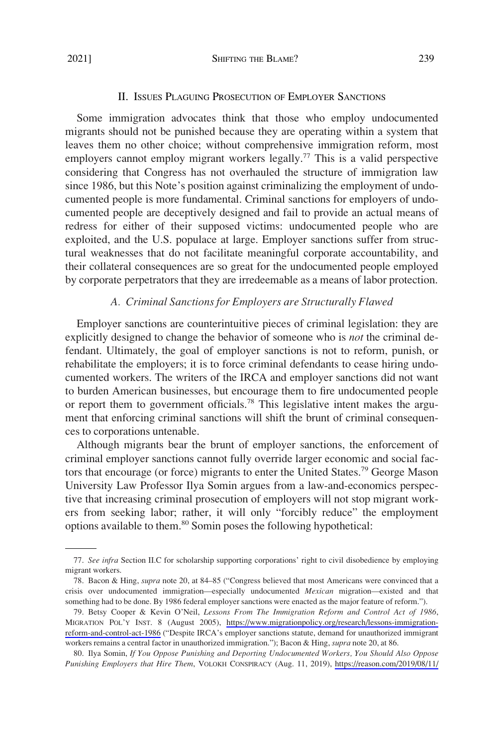# II. ISSUES PLAGUING PROSECUTION OF EMPLOYER SANCTIONS

<span id="page-12-0"></span>Some immigration advocates think that those who employ undocumented migrants should not be punished because they are operating within a system that leaves them no other choice; without comprehensive immigration reform, most employers cannot employ migrant workers legally.<sup>77</sup> This is a valid perspective considering that Congress has not overhauled the structure of immigration law since 1986, but this Note's position against criminalizing the employment of undocumented people is more fundamental. Criminal sanctions for employers of undocumented people are deceptively designed and fail to provide an actual means of redress for either of their supposed victims: undocumented people who are exploited, and the U.S. populace at large. Employer sanctions suffer from structural weaknesses that do not facilitate meaningful corporate accountability, and their collateral consequences are so great for the undocumented people employed by corporate perpetrators that they are irredeemable as a means of labor protection.

#### *A. Criminal Sanctions for Employers are Structurally Flawed*

Employer sanctions are counterintuitive pieces of criminal legislation: they are explicitly designed to change the behavior of someone who is *not* the criminal defendant. Ultimately, the goal of employer sanctions is not to reform, punish, or rehabilitate the employers; it is to force criminal defendants to cease hiring undocumented workers. The writers of the IRCA and employer sanctions did not want to burden American businesses, but encourage them to fire undocumented people or report them to government officials.78 This legislative intent makes the argument that enforcing criminal sanctions will shift the brunt of criminal consequences to corporations untenable.

Although migrants bear the brunt of employer sanctions, the enforcement of criminal employer sanctions cannot fully override larger economic and social factors that encourage (or force) migrants to enter the United States.<sup>79</sup> George Mason University Law Professor Ilya Somin argues from a law-and-economics perspective that increasing criminal prosecution of employers will not stop migrant workers from seeking labor; rather, it will only "forcibly reduce" the employment options available to them.<sup>80</sup> Somin poses the following hypothetical:

<sup>77.</sup> *See infra* Section II.C for scholarship supporting corporations' right to civil disobedience by employing migrant workers.

<sup>78.</sup> Bacon & Hing, *supra* note 20, at 84–85 ("Congress believed that most Americans were convinced that a crisis over undocumented immigration—especially undocumented *Mexican* migration—existed and that something had to be done. By 1986 federal employer sanctions were enacted as the major feature of reform.").

Betsy Cooper & Kevin O'Neil, *Lessons From The Immigration Reform and Control Act of 1986*, 79. MIGRATION POL'Y INST. 8 (August 2005), [https://www.migrationpolicy.org/research/lessons-immigration](https://www.migrationpolicy.org/research/lessons-immigration-reform-and-control-act-1986)[reform-and-control-act-1986](https://www.migrationpolicy.org/research/lessons-immigration-reform-and-control-act-1986) ("Despite IRCA's employer sanctions statute, demand for unauthorized immigrant workers remains a central factor in unauthorized immigration."); Bacon & Hing, *supra* note 20, at 86.

<sup>80.</sup> Ilya Somin, *If You Oppose Punishing and Deporting Undocumented Workers, You Should Also Oppose Punishing Employers that Hire Them*, VOLOKH CONSPIRACY (Aug. 11, 2019), [https://reason.com/2019/08/11/](https://reason.com/2019/08/11/if-you-oppose-punishing-and-deporting-undocumented-workers-you-should-also-oppose-punishing-employers-that-hire-them/)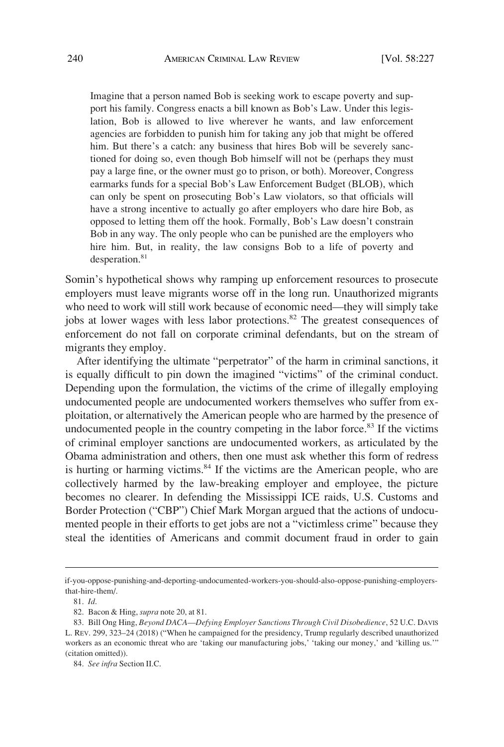Imagine that a person named Bob is seeking work to escape poverty and support his family. Congress enacts a bill known as Bob's Law. Under this legislation, Bob is allowed to live wherever he wants, and law enforcement agencies are forbidden to punish him for taking any job that might be offered him. But there's a catch: any business that hires Bob will be severely sanctioned for doing so, even though Bob himself will not be (perhaps they must pay a large fine, or the owner must go to prison, or both). Moreover, Congress earmarks funds for a special Bob's Law Enforcement Budget (BLOB), which can only be spent on prosecuting Bob's Law violators, so that officials will have a strong incentive to actually go after employers who dare hire Bob, as opposed to letting them off the hook. Formally, Bob's Law doesn't constrain Bob in any way. The only people who can be punished are the employers who hire him. But, in reality, the law consigns Bob to a life of poverty and desperation.<sup>81</sup>

Somin's hypothetical shows why ramping up enforcement resources to prosecute employers must leave migrants worse off in the long run. Unauthorized migrants who need to work will still work because of economic need—they will simply take jobs at lower wages with less labor protections.<sup>82</sup> The greatest consequences of enforcement do not fall on corporate criminal defendants, but on the stream of migrants they employ.

After identifying the ultimate "perpetrator" of the harm in criminal sanctions, it is equally difficult to pin down the imagined "victims" of the criminal conduct. Depending upon the formulation, the victims of the crime of illegally employing undocumented people are undocumented workers themselves who suffer from exploitation, or alternatively the American people who are harmed by the presence of undocumented people in the country competing in the labor force. $83$  If the victims of criminal employer sanctions are undocumented workers, as articulated by the Obama administration and others, then one must ask whether this form of redress is hurting or harming victims. $84$  If the victims are the American people, who are collectively harmed by the law-breaking employer and employee, the picture becomes no clearer. In defending the Mississippi ICE raids, U.S. Customs and Border Protection ("CBP") Chief Mark Morgan argued that the actions of undocumented people in their efforts to get jobs are not a "victimless crime" because they steal the identities of Americans and commit document fraud in order to gain

if-you-oppose-punishing-and-deporting-undocumented-workers-you-should-also-oppose-punishing-employersthat-hire-them/.

<sup>81.</sup> *Id*.

<sup>82.</sup> Bacon & Hing, *supra* note 20, at 81.

<sup>83.</sup> Bill Ong Hing, *Beyond DACA––Defying Employer Sanctions Through Civil Disobedience*, 52 U.C. DAVIS L. REV. 299, 323–24 (2018) ("When he campaigned for the presidency, Trump regularly described unauthorized workers as an economic threat who are 'taking our manufacturing jobs,' 'taking our money,' and 'killing us.'" (citation omitted)).

<sup>84.</sup> *See infra* Section II.C.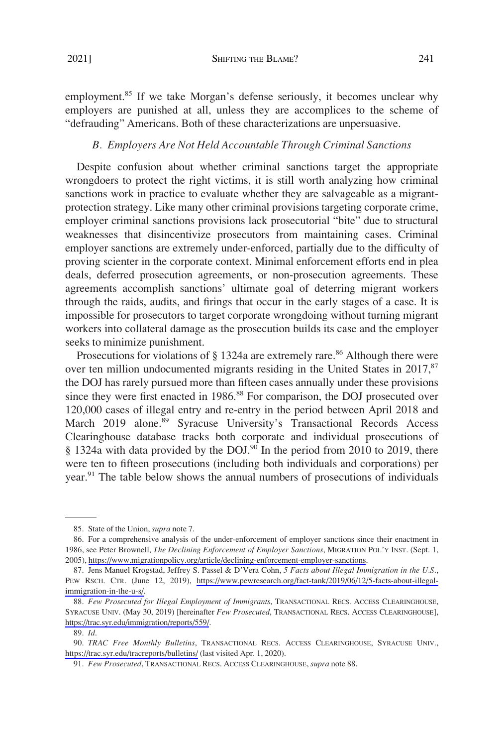<span id="page-14-0"></span>employment.<sup>85</sup> If we take Morgan's defense seriously, it becomes unclear why employers are punished at all, unless they are accomplices to the scheme of "defrauding" Americans. Both of these characterizations are unpersuasive.

## *B. Employers Are Not Held Accountable Through Criminal Sanctions*

Despite confusion about whether criminal sanctions target the appropriate wrongdoers to protect the right victims, it is still worth analyzing how criminal sanctions work in practice to evaluate whether they are salvageable as a migrantprotection strategy. Like many other criminal provisions targeting corporate crime, employer criminal sanctions provisions lack prosecutorial "bite" due to structural weaknesses that disincentivize prosecutors from maintaining cases. Criminal employer sanctions are extremely under-enforced, partially due to the difficulty of proving scienter in the corporate context. Minimal enforcement efforts end in plea deals, deferred prosecution agreements, or non-prosecution agreements. These agreements accomplish sanctions' ultimate goal of deterring migrant workers through the raids, audits, and firings that occur in the early stages of a case. It is impossible for prosecutors to target corporate wrongdoing without turning migrant workers into collateral damage as the prosecution builds its case and the employer seeks to minimize punishment.

Prosecutions for violations of  $\S$  1324a are extremely rare.<sup>86</sup> Although there were over ten million undocumented migrants residing in the United States in  $2017$ <sup>87</sup> the DOJ has rarely pursued more than fifteen cases annually under these provisions since they were first enacted in 1986.<sup>88</sup> For comparison, the DOJ prosecuted over 120,000 cases of illegal entry and re-entry in the period between April 2018 and March 2019 alone.<sup>89</sup> Syracuse University's Transactional Records Access Clearinghouse database tracks both corporate and individual prosecutions of  $§$  1324a with data provided by the DOJ.<sup>90</sup> In the period from 2010 to 2019, there were ten to fifteen prosecutions (including both individuals and corporations) per year.<sup>91</sup> The table below shows the annual numbers of prosecutions of individuals

<sup>85.</sup> State of the Union, *supra* note 7.

<sup>86.</sup> For a comprehensive analysis of the under-enforcement of employer sanctions since their enactment in 1986, see Peter Brownell, *The Declining Enforcement of Employer Sanctions*, MIGRATION POL'Y INST. (Sept. 1, 2005), <https://www.migrationpolicy.org/article/declining-enforcement-employer-sanctions>.

<sup>87.</sup> Jens Manuel Krogstad, Jeffrey S. Passel & D'Vera Cohn, 5 Facts about Illegal Immigration in the U.S., PEW RSCH. CTR. (June 12, 2019), [https://www.pewresearch.org/fact-tank/2019/06/12/5-facts-about-illegal](https://www.pewresearch.org/fact-tank/2019/06/12/5-facts-about-illegal-immigration-in-the-u-s/)[immigration-in-the-u-s/.](https://www.pewresearch.org/fact-tank/2019/06/12/5-facts-about-illegal-immigration-in-the-u-s/)

*Few Prosecuted for Illegal Employment of Immigrants*, TRANSACTIONAL RECS. ACCESS CLEARINGHOUSE, 88. SYRACUSE UNIV. (May 30, 2019) [hereinafter *Few Prosecuted*, TRANSACTIONAL RECS. ACCESS CLEARINGHOUSE], [https://trac.syr.edu/immigration/reports/559/.](https://trac.syr.edu/immigration/reports/559/)

<sup>89.</sup> *Id*.

<sup>90.</sup> TRAC Free Monthly Bulletins, TRANSACTIONAL RECS. ACCESS CLEARINGHOUSE, SYRACUSE UNIV., <https://trac.syr.edu/tracreports/bulletins/> (last visited Apr. 1, 2020).

<sup>91.</sup> *Few Prosecuted*, TRANSACTIONAL RECS. ACCESS CLEARINGHOUSE, *supra* note 88.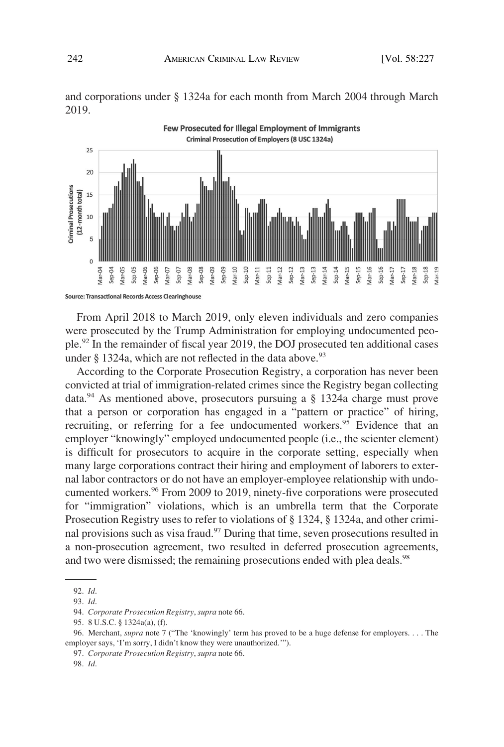



From April 2018 to March 2019, only eleven individuals and zero companies

were prosecuted by the Trump Administration for employing undocumented people.92 In the remainder of fiscal year 2019, the DOJ prosecuted ten additional cases under  $\S$  1324a, which are not reflected in the data above.<sup>93</sup>

According to the Corporate Prosecution Registry, a corporation has never been convicted at trial of immigration-related crimes since the Registry began collecting data.94 As mentioned above, prosecutors pursuing a § 1324a charge must prove that a person or corporation has engaged in a "pattern or practice" of hiring, recruiting, or referring for a fee undocumented workers.<sup>95</sup> Evidence that an employer "knowingly" employed undocumented people (i.e., the scienter element) is difficult for prosecutors to acquire in the corporate setting, especially when many large corporations contract their hiring and employment of laborers to external labor contractors or do not have an employer-employee relationship with undocumented workers.<sup>96</sup> From 2009 to 2019, ninety-five corporations were prosecuted for "immigration" violations, which is an umbrella term that the Corporate Prosecution Registry uses to refer to violations of § 1324, § 1324a, and other criminal provisions such as visa fraud.<sup>97</sup> During that time, seven prosecutions resulted in a non-prosecution agreement, two resulted in deferred prosecution agreements, and two were dismissed; the remaining prosecutions ended with plea deals.<sup>98</sup>

<sup>92.</sup> *Id*.

<sup>93.</sup> *Id*.

<sup>94.</sup> *Corporate Prosecution Registry*, *supra* note 66.

<sup>95. 8</sup> U.S.C. § 1324a(a), (f).

<sup>96.</sup> Merchant, *supra* note 7 ("The 'knowingly' term has proved to be a huge defense for employers. . . . The employer says, 'I'm sorry, I didn't know they were unauthorized.'").

<sup>97.</sup> *Corporate Prosecution Registry*, *supra* note 66.

<sup>98.</sup> *Id*.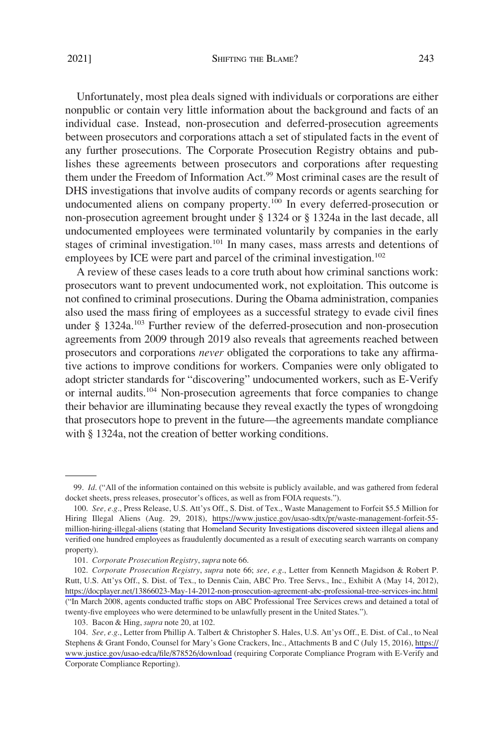Unfortunately, most plea deals signed with individuals or corporations are either nonpublic or contain very little information about the background and facts of an individual case. Instead, non-prosecution and deferred-prosecution agreements between prosecutors and corporations attach a set of stipulated facts in the event of any further prosecutions. The Corporate Prosecution Registry obtains and publishes these agreements between prosecutors and corporations after requesting them under the Freedom of Information Act.<sup>99</sup> Most criminal cases are the result of DHS investigations that involve audits of company records or agents searching for undocumented aliens on company property.<sup>100</sup> In every deferred-prosecution or non-prosecution agreement brought under § 1324 or § 1324a in the last decade, all undocumented employees were terminated voluntarily by companies in the early stages of criminal investigation.<sup>101</sup> In many cases, mass arrests and detentions of employees by ICE were part and parcel of the criminal investigation.<sup>102</sup>

A review of these cases leads to a core truth about how criminal sanctions work: prosecutors want to prevent undocumented work, not exploitation. This outcome is not confined to criminal prosecutions. During the Obama administration, companies also used the mass firing of employees as a successful strategy to evade civil fines under § 1324a.<sup>103</sup> Further review of the deferred-prosecution and non-prosecution agreements from 2009 through 2019 also reveals that agreements reached between prosecutors and corporations *never* obligated the corporations to take any affirmative actions to improve conditions for workers. Companies were only obligated to adopt stricter standards for "discovering" undocumented workers, such as E-Verify or internal audits.<sup>104</sup> Non-prosecution agreements that force companies to change their behavior are illuminating because they reveal exactly the types of wrongdoing that prosecutors hope to prevent in the future––the agreements mandate compliance with § 1324a, not the creation of better working conditions.

<sup>99.</sup> *Id*. ("All of the information contained on this website is publicly available, and was gathered from federal docket sheets, press releases, prosecutor's offices, as well as from FOIA requests.").

<sup>100.</sup> See, e.g., Press Release, U.S. Att'ys Off., S. Dist. of Tex., Waste Management to Forfeit \$5.5 Million for Hiring Illegal Aliens (Aug. 29, 2018), [https://www.justice.gov/usao-sdtx/pr/waste-management-forfeit-55](https://www.justice.gov/usao-sdtx/pr/waste-management-forfeit-55-million-hiring-illegal-aliens)  [million-hiring-illegal-aliens](https://www.justice.gov/usao-sdtx/pr/waste-management-forfeit-55-million-hiring-illegal-aliens) (stating that Homeland Security Investigations discovered sixteen illegal aliens and verified one hundred employees as fraudulently documented as a result of executing search warrants on company property).

<sup>101.</sup> *Corporate Prosecution Registry*, *supra* note 66.

*Corporate Prosecution Registry*, *supra* note 66; *see, e.g*., Letter from Kenneth Magidson & Robert P. 102. Rutt, U.S. Att'ys Off., S. Dist. of Tex., to Dennis Cain, ABC Pro. Tree Servs., Inc., Exhibit A (May 14, 2012), <https://docplayer.net/13866023-May-14-2012-non-prosecution-agreement-abc-professional-tree-services-inc.html> ("In March 2008, agents conducted traffic stops on ABC Professional Tree Services crews and detained a total of twenty-five employees who were determined to be unlawfully present in the United States.").

<sup>103.</sup> Bacon & Hing, *supra* note 20, at 102.

<sup>104.</sup> See, e.g., Letter from Phillip A. Talbert & Christopher S. Hales, U.S. Att'ys Off., E. Dist. of Cal., to Neal Stephens & Grant Fondo, Counsel for Mary's Gone Crackers, Inc., Attachments B and C (July 15, 2016), [https://](https://www.justice.gov/usao-edca/file/878526/download)  [www.justice.gov/usao-edca/file/878526/download](https://www.justice.gov/usao-edca/file/878526/download) (requiring Corporate Compliance Program with E-Verify and Corporate Compliance Reporting).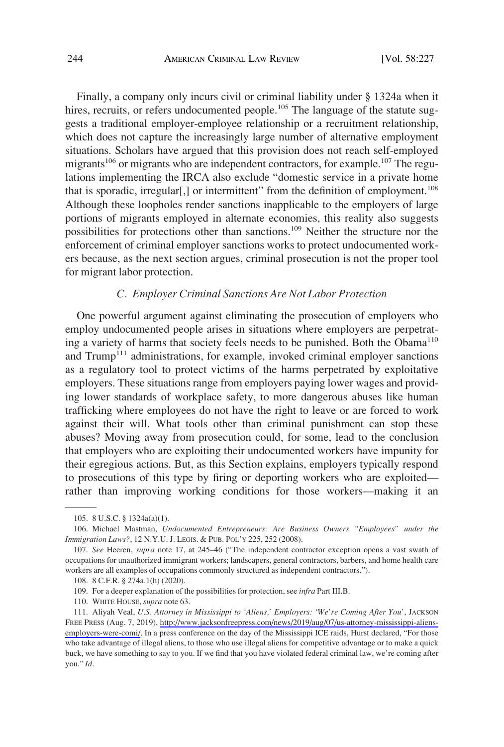<span id="page-17-0"></span>Finally, a company only incurs civil or criminal liability under § 1324a when it hires, recruits, or refers undocumented people.<sup>105</sup> The language of the statute suggests a traditional employer-employee relationship or a recruitment relationship, which does not capture the increasingly large number of alternative employment situations. Scholars have argued that this provision does not reach self-employed migrants<sup>106</sup> or migrants who are independent contractors, for example.<sup>107</sup> The regulations implementing the IRCA also exclude "domestic service in a private home that is sporadic, irregular[,] or intermittent" from the definition of employment.<sup>108</sup> Although these loopholes render sanctions inapplicable to the employers of large portions of migrants employed in alternate economies, this reality also suggests possibilities for protections other than sanctions.109 Neither the structure nor the enforcement of criminal employer sanctions works to protect undocumented workers because, as the next section argues, criminal prosecution is not the proper tool for migrant labor protection.

## *C. Employer Criminal Sanctions Are Not Labor Protection*

One powerful argument against eliminating the prosecution of employers who employ undocumented people arises in situations where employers are perpetrating a variety of harms that society feels needs to be punished. Both the Obama $^{110}$ and Trump<sup>111</sup> administrations, for example, invoked criminal employer sanctions as a regulatory tool to protect victims of the harms perpetrated by exploitative employers. These situations range from employers paying lower wages and providing lower standards of workplace safety, to more dangerous abuses like human trafficking where employees do not have the right to leave or are forced to work against their will. What tools other than criminal punishment can stop these abuses? Moving away from prosecution could, for some, lead to the conclusion that employers who are exploiting their undocumented workers have impunity for their egregious actions. But, as this Section explains, employers typically respond to prosecutions of this type by firing or deporting workers who are exploited rather than improving working conditions for those workers—making it an

110. WHITE HOUSE, *supra* note 63.

<sup>105. 8</sup> U.S.C. § 1324a(a)(1).

<sup>106.</sup> Michael Mastman, *Undocumented Entrepreneurs: Are Business Owners "Employees" under the Immigration Laws?*, 12 N.Y.U. J. LEGIS. & PUB. POL'Y 225, 252 (2008).

<sup>107.</sup> *See* Heeren, *supra* note 17, at 245–46 ("The independent contractor exception opens a vast swath of occupations for unauthorized immigrant workers; landscapers, general contractors, barbers, and home health care workers are all examples of occupations commonly structured as independent contractors.").

<sup>108. 8</sup> C.F.R. § 274a.1(h) (2020).

<sup>109.</sup> For a deeper explanation of the possibilities for protection, see *infra* Part III.B.

<sup>111.</sup> Aliyah Veal, *U.S. Attorney in Mississippi to 'Aliens,' Employers: 'We're Coming After You'*, JACKSON FREE PRESS (Aug. 7, 2019), [http://www.jacksonfreepress.com/news/2019/aug/07/us-attorney-mississippi-aliens](http://www.jacksonfreepress.com/news/2019/aug/07/us-attorney-mississippi-aliens-employers-were-comi/)[employers-were-comi/](http://www.jacksonfreepress.com/news/2019/aug/07/us-attorney-mississippi-aliens-employers-were-comi/). In a press conference on the day of the Mississippi ICE raids, Hurst declared, "For those who take advantage of illegal aliens, to those who use illegal aliens for competitive advantage or to make a quick buck, we have something to say to you. If we find that you have violated federal criminal law, we're coming after you." *Id*.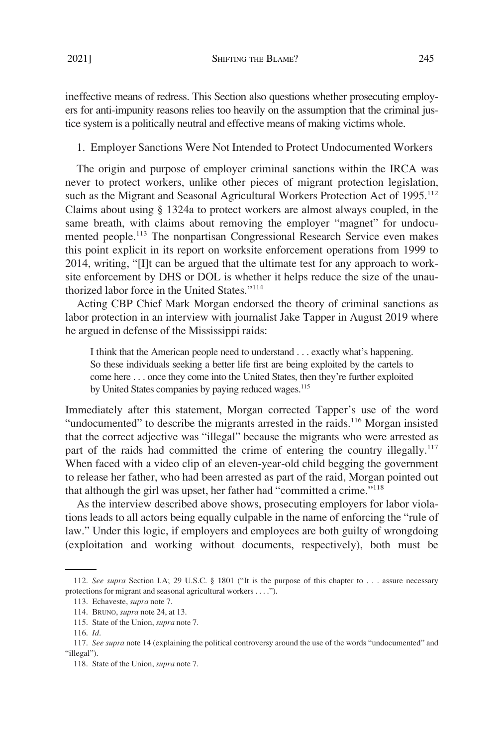<span id="page-18-0"></span>ineffective means of redress. This Section also questions whether prosecuting employers for anti-impunity reasons relies too heavily on the assumption that the criminal justice system is a politically neutral and effective means of making victims whole.

1. Employer Sanctions Were Not Intended to Protect Undocumented Workers

The origin and purpose of employer criminal sanctions within the IRCA was never to protect workers, unlike other pieces of migrant protection legislation, such as the Migrant and Seasonal Agricultural Workers Protection Act of 1995.<sup>112</sup> Claims about using § 1324a to protect workers are almost always coupled, in the same breath, with claims about removing the employer "magnet" for undocumented people.<sup>113</sup> The nonpartisan Congressional Research Service even makes this point explicit in its report on worksite enforcement operations from 1999 to 2014, writing, "[I]t can be argued that the ultimate test for any approach to worksite enforcement by DHS or DOL is whether it helps reduce the size of the unauthorized labor force in the United States."<sup>114</sup>

Acting CBP Chief Mark Morgan endorsed the theory of criminal sanctions as labor protection in an interview with journalist Jake Tapper in August 2019 where he argued in defense of the Mississippi raids:

I think that the American people need to understand . . . exactly what's happening. So these individuals seeking a better life first are being exploited by the cartels to come here . . . once they come into the United States, then they're further exploited by United States companies by paying reduced wages.<sup>115</sup>

Immediately after this statement, Morgan corrected Tapper's use of the word "undocumented" to describe the migrants arrested in the raids.<sup>116</sup> Morgan insisted that the correct adjective was "illegal" because the migrants who were arrested as part of the raids had committed the crime of entering the country illegally.<sup>117</sup> When faced with a video clip of an eleven-year-old child begging the government to release her father, who had been arrested as part of the raid, Morgan pointed out that although the girl was upset, her father had "committed a crime."118

As the interview described above shows, prosecuting employers for labor violations leads to all actors being equally culpable in the name of enforcing the "rule of law." Under this logic, if employers and employees are both guilty of wrongdoing (exploitation and working without documents, respectively), both must be

<sup>112.</sup> *See supra* Section I.A; 29 U.S.C. § 1801 ("It is the purpose of this chapter to . . . assure necessary protections for migrant and seasonal agricultural workers . . . .").

<sup>113.</sup> Echaveste, *supra* note 7.

<sup>114.</sup> BRUNO, *supra* note 24, at 13.

<sup>115.</sup> State of the Union, *supra* note 7.

<sup>116.</sup> *Id*.

<sup>117.</sup> *See supra* note 14 (explaining the political controversy around the use of the words "undocumented" and "illegal").

<sup>118.</sup> State of the Union, *supra* note 7.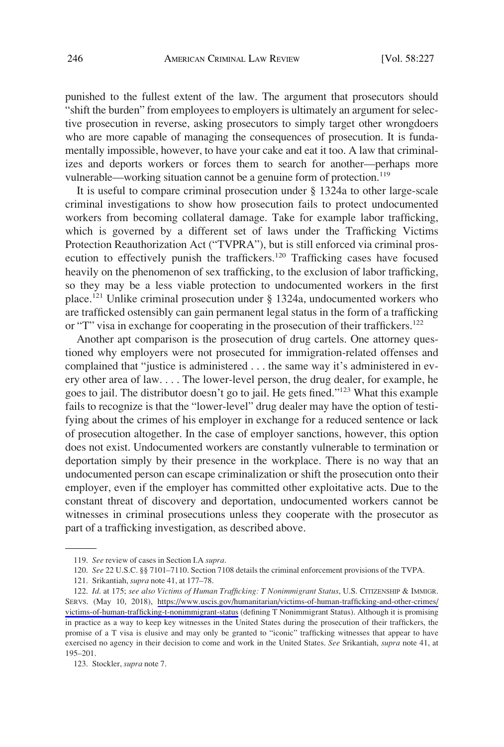punished to the fullest extent of the law. The argument that prosecutors should "shift the burden" from employees to employers is ultimately an argument for selective prosecution in reverse, asking prosecutors to simply target other wrongdoers who are more capable of managing the consequences of prosecution. It is fundamentally impossible, however, to have your cake and eat it too. A law that criminalizes and deports workers or forces them to search for another—perhaps more vulnerable—working situation cannot be a genuine form of protection.<sup>119</sup>

It is useful to compare criminal prosecution under § 1324a to other large-scale criminal investigations to show how prosecution fails to protect undocumented workers from becoming collateral damage. Take for example labor trafficking, which is governed by a different set of laws under the Trafficking Victims Protection Reauthorization Act ("TVPRA"), but is still enforced via criminal prosecution to effectively punish the traffickers.<sup>120</sup> Trafficking cases have focused heavily on the phenomenon of sex trafficking, to the exclusion of labor trafficking, so they may be a less viable protection to undocumented workers in the first place.121 Unlike criminal prosecution under § 1324a, undocumented workers who are trafficked ostensibly can gain permanent legal status in the form of a trafficking or "T" visa in exchange for cooperating in the prosecution of their traffickers.<sup>122</sup>

Another apt comparison is the prosecution of drug cartels. One attorney questioned why employers were not prosecuted for immigration-related offenses and complained that "justice is administered . . . the same way it's administered in every other area of law. . . . The lower-level person, the drug dealer, for example, he goes to jail. The distributor doesn't go to jail. He gets fined."123 What this example fails to recognize is that the "lower-level" drug dealer may have the option of testifying about the crimes of his employer in exchange for a reduced sentence or lack of prosecution altogether. In the case of employer sanctions, however, this option does not exist. Undocumented workers are constantly vulnerable to termination or deportation simply by their presence in the workplace. There is no way that an undocumented person can escape criminalization or shift the prosecution onto their employer, even if the employer has committed other exploitative acts. Due to the constant threat of discovery and deportation, undocumented workers cannot be witnesses in criminal prosecutions unless they cooperate with the prosecutor as part of a trafficking investigation, as described above.

<sup>119.</sup> *See* review of cases in Section I.A *supra*.

<sup>120.</sup> *See* 22 U.S.C. §§ 7101–7110. Section 7108 details the criminal enforcement provisions of the TVPA.

<sup>121.</sup> Srikantiah, *supra* note 41, at 177–78.

<sup>122.</sup> Id. at 175; see also Victims of Human Trafficking: T Nonimmigrant Status, U.S. CITIZENSHIP & IMMIGR. SERVS. (May 10, 2018), [https://www.uscis.gov/humanitarian/victims-of-human-trafficking-and-other-crimes/](https://www.uscis.gov/humanitarian/victims-of-human-trafficking-and-other-crimes/victims-of-human-trafficking-t-nonimmigrant-status) [victims-of-human-trafficking-t-nonimmigrant-status](https://www.uscis.gov/humanitarian/victims-of-human-trafficking-and-other-crimes/victims-of-human-trafficking-t-nonimmigrant-status) (defining T Nonimmigrant Status). Although it is promising in practice as a way to keep key witnesses in the United States during the prosecution of their traffickers, the promise of a T visa is elusive and may only be granted to "iconic" trafficking witnesses that appear to have exercised no agency in their decision to come and work in the United States. *See* Srikantiah, *supra* note 41, at 195–201.

<sup>123.</sup> Stockler, *supra* note 7.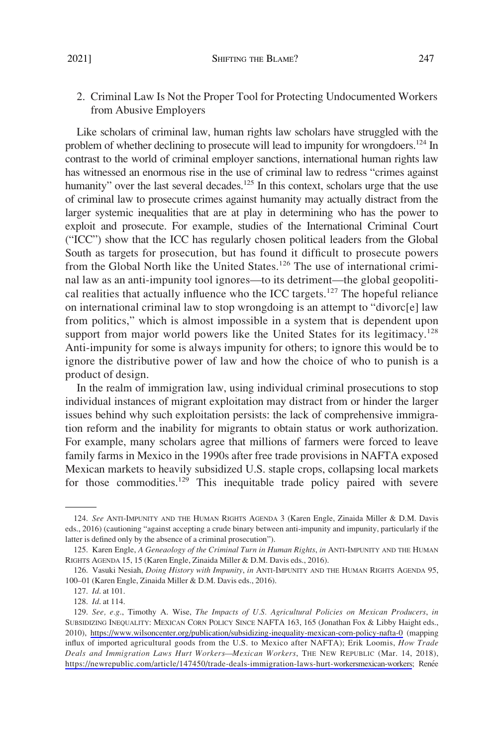# <span id="page-20-0"></span>2. Criminal Law Is Not the Proper Tool for Protecting Undocumented Workers from Abusive Employers

Like scholars of criminal law, human rights law scholars have struggled with the problem of whether declining to prosecute will lead to impunity for wrongdoers.<sup>124</sup> In contrast to the world of criminal employer sanctions, international human rights law has witnessed an enormous rise in the use of criminal law to redress "crimes against humanity" over the last several decades.<sup>125</sup> In this context, scholars urge that the use of criminal law to prosecute crimes against humanity may actually distract from the larger systemic inequalities that are at play in determining who has the power to exploit and prosecute. For example, studies of the International Criminal Court ("ICC") show that the ICC has regularly chosen political leaders from the Global South as targets for prosecution, but has found it difficult to prosecute powers from the Global North like the United States.<sup>126</sup> The use of international criminal law as an anti-impunity tool ignores—to its detriment—the global geopolitical realities that actually influence who the ICC targets.<sup>127</sup> The hopeful reliance on international criminal law to stop wrongdoing is an attempt to "divorc[e] law from politics," which is almost impossible in a system that is dependent upon support from major world powers like the United States for its legitimacy.<sup>128</sup> Anti-impunity for some is always impunity for others; to ignore this would be to ignore the distributive power of law and how the choice of who to punish is a product of design.

In the realm of immigration law, using individual criminal prosecutions to stop individual instances of migrant exploitation may distract from or hinder the larger issues behind why such exploitation persists: the lack of comprehensive immigration reform and the inability for migrants to obtain status or work authorization. For example, many scholars agree that millions of farmers were forced to leave family farms in Mexico in the 1990s after free trade provisions in NAFTA exposed Mexican markets to heavily subsidized U.S. staple crops, collapsing local markets for those commodities.<sup>129</sup> This inequitable trade policy paired with severe

<sup>124.</sup> *See* ANTI-IMPUNITY AND THE HUMAN RIGHTS AGENDA 3 (Karen Engle, Zinaida Miller & D.M. Davis eds., 2016) (cautioning "against accepting a crude binary between anti-impunity and impunity, particularly if the latter is defined only by the absence of a criminal prosecution").

<sup>125.</sup> Karen Engle, *A Geneaology of the Criminal Turn in Human Rights*, *in* ANTI-IMPUNITY AND THE HUMAN RIGHTS AGENDA 15, 15 (Karen Engle, Zinaida Miller & D.M. Davis eds., 2016).

<sup>126.</sup> Vasuki Nesiah, *Doing History with Impunity*, *in* ANTI-IMPUNITY AND THE HUMAN RIGHTS AGENDA 95, 100–01 (Karen Engle, Zinaida Miller & D.M. Davis eds., 2016).

<sup>127.</sup> *Id*. at 101.

<sup>128.</sup> *Id*. at 114.

*See, e.g*., Timothy A. Wise, *The Impacts of U.S. Agricultural Policies on Mexican Producers*, *in*  129. SUBSIDIZING INEQUALITY: MEXICAN CORN POLICY SINCE NAFTA 163, 165 (Jonathan Fox & Libby Haight eds., 2010), <https://www.wilsoncenter.org/publication/subsidizing-inequality-mexican-corn-policy-nafta-0>(mapping influx of imported agricultural goods from the U.S. to Mexico after NAFTA); Erik Loomis, *How Trade Deals and Immigration Laws Hurt Workers—Mexican Workers*, THE NEW REPUBLIC (Mar. 14, 2018), [https://newrepublic.com/article/147450/trade-deals-immigration-laws-hurt-workersmexican-workers;](https://newrepublic.com/article/147450/trade-deals-immigration-laws-hurt-workersmexican-workers) Renée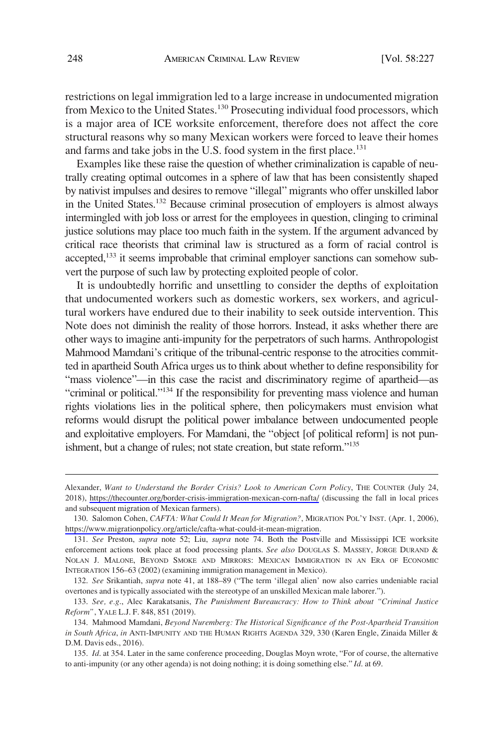restrictions on legal immigration led to a large increase in undocumented migration from Mexico to the United States.<sup>130</sup> Prosecuting individual food processors, which is a major area of ICE worksite enforcement, therefore does not affect the core structural reasons why so many Mexican workers were forced to leave their homes and farms and take jobs in the U.S. food system in the first place. $131$ 

Examples like these raise the question of whether criminalization is capable of neutrally creating optimal outcomes in a sphere of law that has been consistently shaped by nativist impulses and desires to remove "illegal" migrants who offer unskilled labor in the United States.132 Because criminal prosecution of employers is almost always intermingled with job loss or arrest for the employees in question, clinging to criminal justice solutions may place too much faith in the system. If the argument advanced by critical race theorists that criminal law is structured as a form of racial control is accepted,<sup>133</sup> it seems improbable that criminal employer sanctions can somehow subvert the purpose of such law by protecting exploited people of color.

It is undoubtedly horrific and unsettling to consider the depths of exploitation that undocumented workers such as domestic workers, sex workers, and agricultural workers have endured due to their inability to seek outside intervention. This Note does not diminish the reality of those horrors. Instead, it asks whether there are other ways to imagine anti-impunity for the perpetrators of such harms. Anthropologist Mahmood Mamdani's critique of the tribunal-centric response to the atrocities committed in apartheid South Africa urges us to think about whether to define responsibility for "mass violence"—in this case the racist and discriminatory regime of apartheid—as "criminal or political."<sup>134</sup> If the responsibility for preventing mass violence and human rights violations lies in the political sphere, then policymakers must envision what reforms would disrupt the political power imbalance between undocumented people and exploitative employers. For Mamdani, the "object [of political reform] is not punishment, but a change of rules; not state creation, but state reform."135

<sup>2018),</sup> <https://thecounter.org/border-crisis-immigration-mexican-corn-nafta/> (discussing the fall in local prices and subsequent migration of Mexican farmers). Alexander, *Want to Understand the Border Crisis? Look to American Corn Policy*, THE COUNTER (July 24,

<sup>130.</sup> Salomon Cohen, *CAFTA: What Could It Mean for Migration?*, MIGRATION POL'Y INST. (Apr. 1, 2006), <https://www.migrationpolicy.org/article/cafta-what-could-it-mean-migration>.

<sup>131.</sup> *See* Preston, *supra* note 52; Liu, *supra* note 74. Both the Postville and Mississippi ICE worksite enforcement actions took place at food processing plants. *See also* DOUGLAS S. MASSEY, JORGE DURAND & NOLAN J. MALONE, BEYOND SMOKE AND MIRRORS: MEXICAN IMMIGRATION IN AN ERA OF ECONOMIC INTEGRATION 156–63 (2002) (examining immigration management in Mexico).

<sup>132.</sup> *See* Srikantiah, *supra* note 41, at 188–89 ("The term 'illegal alien' now also carries undeniable racial overtones and is typically associated with the stereotype of an unskilled Mexican male laborer.").

<sup>133.</sup> *See, e.g*., Alec Karakatsanis, *The Punishment Bureaucracy: How to Think about "Criminal Justice Reform"*, YALE L.J. F. 848, 851 (2019).

<sup>134.</sup> Mahmood Mamdani, *Beyond Nuremberg: The Historical Significance of the Post-Apartheid Transition in South Africa*, *in* ANTI-IMPUNITY AND THE HUMAN RIGHTS AGENDA 329, 330 (Karen Engle, Zinaida Miller & D.M. Davis eds., 2016).

<sup>135.</sup> *Id*. at 354. Later in the same conference proceeding, Douglas Moyn wrote, "For of course, the alternative to anti-impunity (or any other agenda) is not doing nothing; it is doing something else." *Id*. at 69.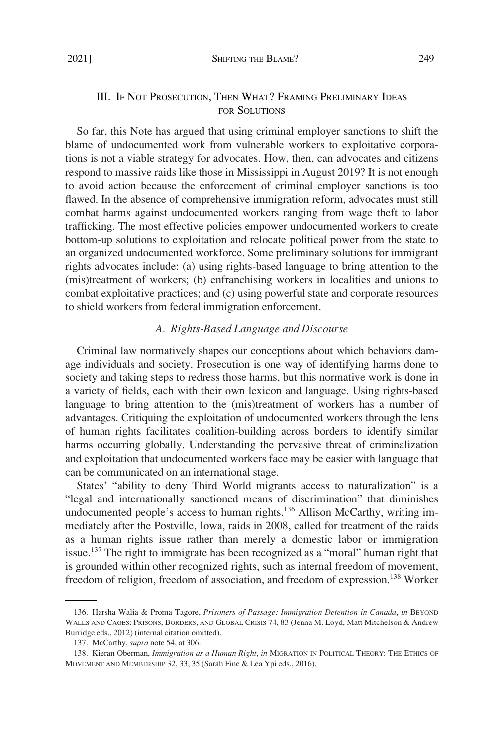# <span id="page-22-0"></span>III. IF NOT PROSECUTION, THEN WHAT? FRAMING PRELIMINARY IDEAS FOR SOLUTIONS

So far, this Note has argued that using criminal employer sanctions to shift the blame of undocumented work from vulnerable workers to exploitative corporations is not a viable strategy for advocates. How, then, can advocates and citizens respond to massive raids like those in Mississippi in August 2019? It is not enough to avoid action because the enforcement of criminal employer sanctions is too flawed. In the absence of comprehensive immigration reform, advocates must still combat harms against undocumented workers ranging from wage theft to labor trafficking. The most effective policies empower undocumented workers to create bottom-up solutions to exploitation and relocate political power from the state to an organized undocumented workforce. Some preliminary solutions for immigrant rights advocates include: (a) using rights-based language to bring attention to the (mis)treatment of workers; (b) enfranchising workers in localities and unions to combat exploitative practices; and (c) using powerful state and corporate resources to shield workers from federal immigration enforcement.

# *A. Rights-Based Language and Discourse*

Criminal law normatively shapes our conceptions about which behaviors damage individuals and society. Prosecution is one way of identifying harms done to society and taking steps to redress those harms, but this normative work is done in a variety of fields, each with their own lexicon and language. Using rights-based language to bring attention to the (mis)treatment of workers has a number of advantages. Critiquing the exploitation of undocumented workers through the lens of human rights facilitates coalition-building across borders to identify similar harms occurring globally. Understanding the pervasive threat of criminalization and exploitation that undocumented workers face may be easier with language that can be communicated on an international stage.

States' "ability to deny Third World migrants access to naturalization" is a "legal and internationally sanctioned means of discrimination" that diminishes undocumented people's access to human rights.<sup>136</sup> Allison McCarthy, writing immediately after the Postville, Iowa, raids in 2008, called for treatment of the raids as a human rights issue rather than merely a domestic labor or immigration issue.<sup>137</sup> The right to immigrate has been recognized as a "moral" human right that is grounded within other recognized rights, such as internal freedom of movement, freedom of religion, freedom of association, and freedom of expression.<sup>138</sup> Worker

<sup>136.</sup> Harsha Walia & Proma Tagore, *Prisoners of Passage: Immigration Detention in Canada*, *in* BEYOND WALLS AND CAGES: PRISONS, BORDERS, AND GLOBAL CRISIS 74, 83 (Jenna M. Loyd, Matt Mitchelson & Andrew Burridge eds., 2012) (internal citation omitted).

<sup>137.</sup> McCarthy, *supra* note 54, at 306.

<sup>138.</sup> Kieran Oberman, *Immigration as a Human Right*, *in* MIGRATION IN POLITICAL THEORY: THE ETHICS OF MOVEMENT AND MEMBERSHIP 32, 33, 35 (Sarah Fine & Lea Ypi eds., 2016).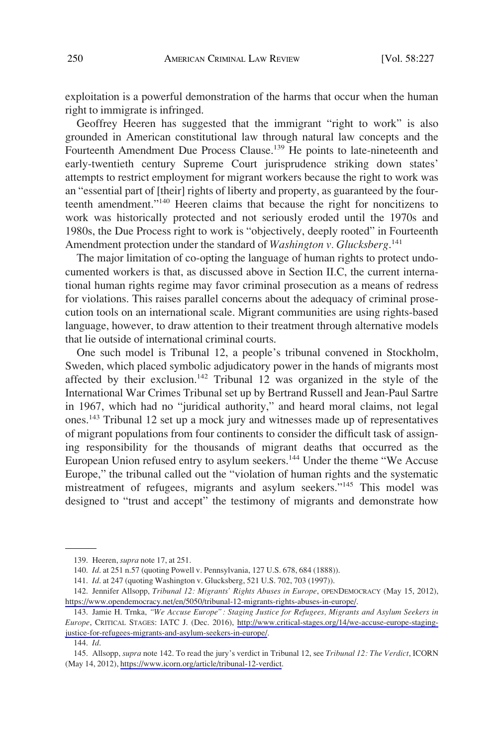exploitation is a powerful demonstration of the harms that occur when the human right to immigrate is infringed.

Geoffrey Heeren has suggested that the immigrant "right to work" is also grounded in American constitutional law through natural law concepts and the Fourteenth Amendment Due Process Clause.<sup>139</sup> He points to late-nineteenth and early-twentieth century Supreme Court jurisprudence striking down states' attempts to restrict employment for migrant workers because the right to work was an "essential part of [their] rights of liberty and property, as guaranteed by the fourteenth amendment."140 Heeren claims that because the right for noncitizens to work was historically protected and not seriously eroded until the 1970s and 1980s, the Due Process right to work is "objectively, deeply rooted" in Fourteenth Amendment protection under the standard of *Washington v. Glucksberg*.<sup>141</sup>

The major limitation of co-opting the language of human rights to protect undocumented workers is that, as discussed above in Section II.C, the current international human rights regime may favor criminal prosecution as a means of redress for violations. This raises parallel concerns about the adequacy of criminal prosecution tools on an international scale. Migrant communities are using rights-based language, however, to draw attention to their treatment through alternative models that lie outside of international criminal courts.

One such model is Tribunal 12, a people's tribunal convened in Stockholm, Sweden, which placed symbolic adjudicatory power in the hands of migrants most affected by their exclusion.<sup>142</sup> Tribunal 12 was organized in the style of the International War Crimes Tribunal set up by Bertrand Russell and Jean-Paul Sartre in 1967, which had no "juridical authority," and heard moral claims, not legal ones.<sup>143</sup> Tribunal 12 set up a mock jury and witnesses made up of representatives of migrant populations from four continents to consider the difficult task of assigning responsibility for the thousands of migrant deaths that occurred as the European Union refused entry to asylum seekers.<sup>144</sup> Under the theme "We Accuse Europe," the tribunal called out the "violation of human rights and the systematic mistreatment of refugees, migrants and asylum seekers."<sup>145</sup> This model was designed to "trust and accept" the testimony of migrants and demonstrate how

144. *Id*.

<sup>139.</sup> Heeren, *supra* note 17, at 251.

<sup>140.</sup> *Id*. at 251 n.57 (quoting Powell v. Pennsylvania, 127 U.S. 678, 684 (1888)).

<sup>141.</sup> *Id*. at 247 (quoting Washington v. Glucksberg, 521 U.S. 702, 703 (1997)).

<sup>142.</sup> Jennifer Allsopp, *Tribunal 12: Migrants' Rights Abuses in Europe*, OPENDEMOCRACY (May 15, 2012), [https://www.opendemocracy.net/en/5050/tribunal-12-migrants-rights-abuses-in-europe/.](https://www.opendemocracy.net/en/5050/tribunal-12-migrants-rights-abuses-in-europe/)

<sup>143.</sup> Jamie H. Trnka, "We Accuse Europe": Staging Justice for Refugees, Migrants and Asylum Seekers in *Europe*, CRITICAL STAGES: IATC J. (Dec. 2016), [http://www.critical-stages.org/14/we-accuse-europe-staging](http://www.critical-stages.org/14/we-accuse-europe-staging-justice-for-refugees-migrants-and-asylum-seekers-in-europe/)[justice-for-refugees-migrants-and-asylum-seekers-in-europe/.](http://www.critical-stages.org/14/we-accuse-europe-staging-justice-for-refugees-migrants-and-asylum-seekers-in-europe/)

Allsopp, *supra* note 142. To read the jury's verdict in Tribunal 12, see *Tribunal 12: The Verdict*, ICORN 145. (May 14, 2012), [https://www.icorn.org/article/tribunal-12-verdict.](https://www.icorn.org/article/tribunal-12-verdict)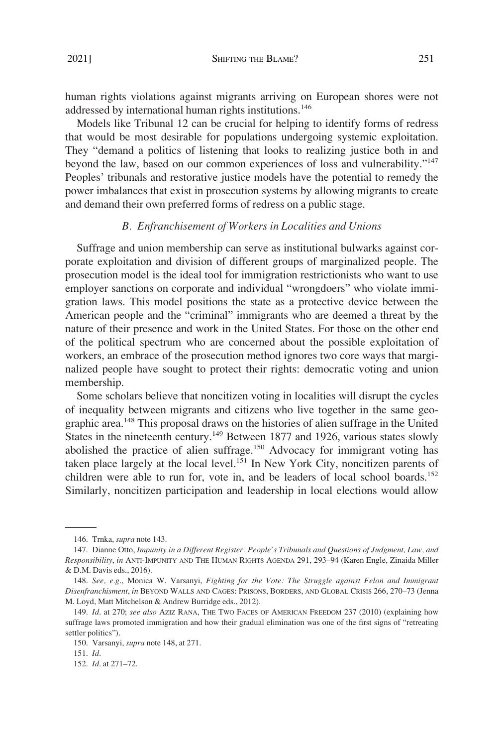<span id="page-24-0"></span>human rights violations against migrants arriving on European shores were not addressed by international human rights institutions.<sup>146</sup>

Models like Tribunal 12 can be crucial for helping to identify forms of redress that would be most desirable for populations undergoing systemic exploitation. They "demand a politics of listening that looks to realizing justice both in and beyond the law, based on our common experiences of loss and vulnerability."<sup>147</sup> Peoples' tribunals and restorative justice models have the potential to remedy the power imbalances that exist in prosecution systems by allowing migrants to create and demand their own preferred forms of redress on a public stage.

### *B. Enfranchisement of Workers in Localities and Unions*

Suffrage and union membership can serve as institutional bulwarks against corporate exploitation and division of different groups of marginalized people. The prosecution model is the ideal tool for immigration restrictionists who want to use employer sanctions on corporate and individual "wrongdoers" who violate immigration laws. This model positions the state as a protective device between the American people and the "criminal" immigrants who are deemed a threat by the nature of their presence and work in the United States. For those on the other end of the political spectrum who are concerned about the possible exploitation of workers, an embrace of the prosecution method ignores two core ways that marginalized people have sought to protect their rights: democratic voting and union membership.

Some scholars believe that noncitizen voting in localities will disrupt the cycles of inequality between migrants and citizens who live together in the same geographic area.148 This proposal draws on the histories of alien suffrage in the United States in the nineteenth century.<sup>149</sup> Between 1877 and 1926, various states slowly abolished the practice of alien suffrage.<sup>150</sup> Advocacy for immigrant voting has taken place largely at the local level.<sup>151</sup> In New York City, noncitizen parents of children were able to run for, vote in, and be leaders of local school boards.<sup>152</sup> Similarly, noncitizen participation and leadership in local elections would allow

<sup>146.</sup> Trnka, *supra* note 143.

<sup>147.</sup> Dianne Otto, *Impunity in a Different Register: People's Tribunals and Questions of Judgment, Law, and Responsibility*, *in* ANTI-IMPUNITY AND THE HUMAN RIGHTS AGENDA 291, 293–94 (Karen Engle, Zinaida Miller & D.M. Davis eds., 2016).

<sup>148.</sup> *See, e.g*., Monica W. Varsanyi, *Fighting for the Vote: The Struggle against Felon and Immigrant Disenfranchisment*, *in* BEYOND WALLS AND CAGES: PRISONS, BORDERS, AND GLOBAL CRISIS 266, 270–73 (Jenna M. Loyd, Matt Mitchelson & Andrew Burridge eds., 2012).

<sup>149.</sup> *Id*. at 270; *see also* AZIZ RANA, THE TWO FACES OF AMERICAN FREEDOM 237 (2010) (explaining how suffrage laws promoted immigration and how their gradual elimination was one of the first signs of "retreating settler politics").

<sup>150.</sup> Varsanyi, *supra* note 148, at 271.

<sup>151.</sup> *Id*.

<sup>152.</sup> *Id*. at 271–72.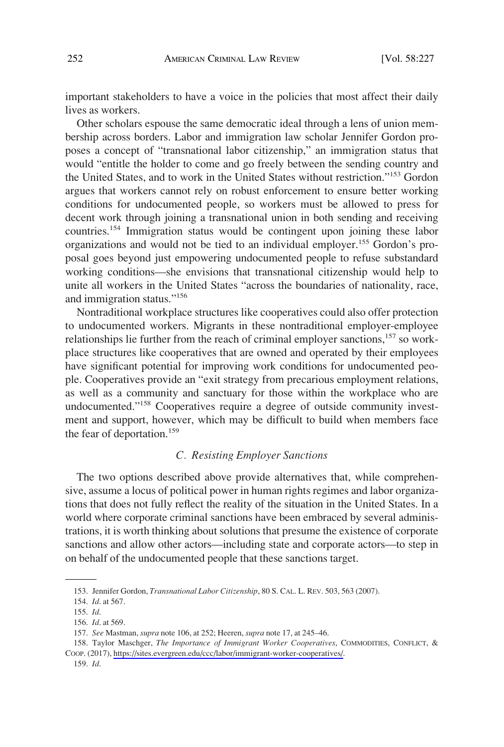<span id="page-25-0"></span>important stakeholders to have a voice in the policies that most affect their daily lives as workers.

Other scholars espouse the same democratic ideal through a lens of union membership across borders. Labor and immigration law scholar Jennifer Gordon proposes a concept of "transnational labor citizenship," an immigration status that would "entitle the holder to come and go freely between the sending country and the United States, and to work in the United States without restriction."153 Gordon argues that workers cannot rely on robust enforcement to ensure better working conditions for undocumented people, so workers must be allowed to press for decent work through joining a transnational union in both sending and receiving countries.154 Immigration status would be contingent upon joining these labor organizations and would not be tied to an individual employer.<sup>155</sup> Gordon's proposal goes beyond just empowering undocumented people to refuse substandard working conditions—she envisions that transnational citizenship would help to unite all workers in the United States "across the boundaries of nationality, race, and immigration status."156

Nontraditional workplace structures like cooperatives could also offer protection to undocumented workers. Migrants in these nontraditional employer-employee relationships lie further from the reach of criminal employer sanctions,<sup>157</sup> so workplace structures like cooperatives that are owned and operated by their employees have significant potential for improving work conditions for undocumented people. Cooperatives provide an "exit strategy from precarious employment relations, as well as a community and sanctuary for those within the workplace who are undocumented."<sup>158</sup> Cooperatives require a degree of outside community investment and support, however, which may be difficult to build when members face the fear of deportation.<sup>159</sup>

## *C. Resisting Employer Sanctions*

The two options described above provide alternatives that, while comprehensive, assume a locus of political power in human rights regimes and labor organizations that does not fully reflect the reality of the situation in the United States. In a world where corporate criminal sanctions have been embraced by several administrations, it is worth thinking about solutions that presume the existence of corporate sanctions and allow other actors—including state and corporate actors—to step in on behalf of the undocumented people that these sanctions target.

<sup>153.</sup> Jennifer Gordon, *Transnational Labor Citizenship*, 80 S. CAL. L. REV. 503, 563 (2007).

<sup>154.</sup> *Id*. at 567.

<sup>155.</sup> *Id*.

<sup>156.</sup> *Id*. at 569.

<sup>157.</sup> *See* Mastman, *supra* note 106, at 252; Heeren, *supra* note 17, at 245–46.

<sup>158.</sup> Taylor Maschger, *The Importance of Immigrant Worker Cooperatives*, COMMODITIES, CONFLICT, & COOP. (2017), [https://sites.evergreen.edu/ccc/labor/immigrant-worker-cooperatives/.](https://sites.evergreen.edu/ccc/labor/immigrant-worker-cooperatives/)

<sup>159.</sup> *Id*.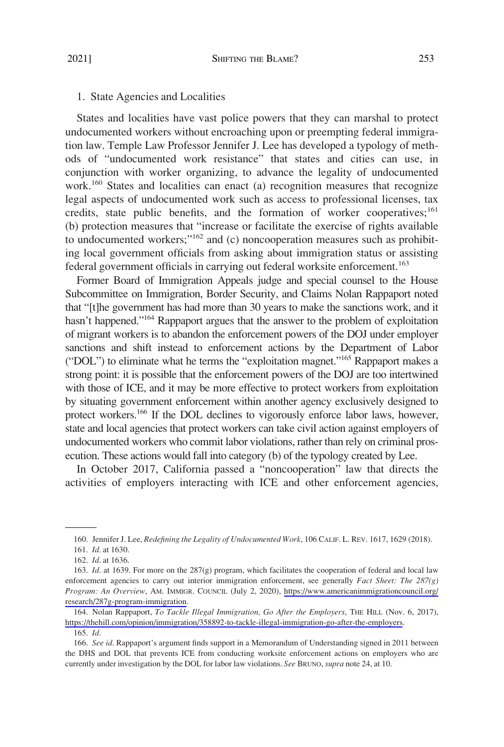### <span id="page-26-0"></span>1. State Agencies and Localities

States and localities have vast police powers that they can marshal to protect undocumented workers without encroaching upon or preempting federal immigration law. Temple Law Professor Jennifer J. Lee has developed a typology of methods of "undocumented work resistance" that states and cities can use, in conjunction with worker organizing, to advance the legality of undocumented work.<sup>160</sup> States and localities can enact (a) recognition measures that recognize legal aspects of undocumented work such as access to professional licenses, tax credits, state public benefits, and the formation of worker cooperatives;<sup>161</sup> (b) protection measures that "increase or facilitate the exercise of rights available to undocumented workers;"<sup>162</sup> and (c) noncooperation measures such as prohibiting local government officials from asking about immigration status or assisting federal government officials in carrying out federal worksite enforcement.<sup>163</sup>

Former Board of Immigration Appeals judge and special counsel to the House Subcommittee on Immigration, Border Security, and Claims Nolan Rappaport noted that "[t]he government has had more than 30 years to make the sanctions work, and it hasn't happened."<sup>164</sup> Rappaport argues that the answer to the problem of exploitation of migrant workers is to abandon the enforcement powers of the DOJ under employer sanctions and shift instead to enforcement actions by the Department of Labor ("DOL") to eliminate what he terms the "exploitation magnet."165 Rappaport makes a strong point: it is possible that the enforcement powers of the DOJ are too intertwined with those of ICE, and it may be more effective to protect workers from exploitation by situating government enforcement within another agency exclusively designed to protect workers.<sup>166</sup> If the DOL declines to vigorously enforce labor laws, however, state and local agencies that protect workers can take civil action against employers of undocumented workers who commit labor violations, rather than rely on criminal prosecution. These actions would fall into category (b) of the typology created by Lee.

In October 2017, California passed a "noncooperation" law that directs the activities of employers interacting with ICE and other enforcement agencies,

<sup>160.</sup> Jennifer J. Lee, *Redefining the Legality of Undocumented Work*, 106 CALIF. L. REV. 1617, 1629 (2018).

<sup>161.</sup> *Id*. at 1630.

<sup>162.</sup> *Id*. at 1636.

<sup>163.</sup> *Id.* at 1639. For more on the 287(g) program, which facilitates the cooperation of federal and local law enforcement agencies to carry out interior immigration enforcement, see generally *Fact Sheet: The 287(g) Program: An Overview*, AM. IMMIGR. COUNCIL (July 2, 2020), [https://www.americanimmigrationcouncil.org/](https://www.americanimmigrationcouncil.org/research/287g-program-immigration)  [research/287g-program-immigration.](https://www.americanimmigrationcouncil.org/research/287g-program-immigration)

<sup>164.</sup> Nolan Rappaport, *To Tackle Illegal Immigration, Go After the Employers*, THE HILL (Nov. 6, 2017), <https://thehill.com/opinion/immigration/358892-to-tackle-illegal-immigration-go-after-the-employers>.

<sup>165.</sup> *Id*.

<sup>166.</sup> *See id*. Rappaport's argument finds support in a Memorandum of Understanding signed in 2011 between the DHS and DOL that prevents ICE from conducting worksite enforcement actions on employers who are currently under investigation by the DOL for labor law violations. *See* BRUNO, *supra* note 24, at 10.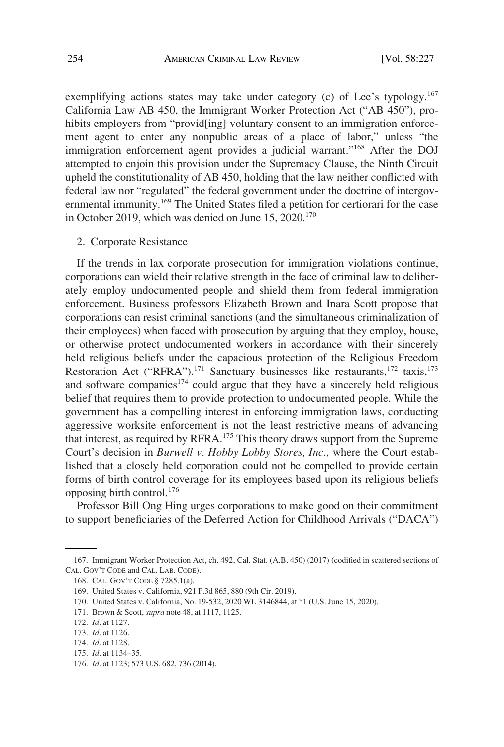<span id="page-27-0"></span>exemplifying actions states may take under category (c) of Lee's typology.<sup>167</sup> California Law AB 450, the Immigrant Worker Protection Act ("AB 450"), prohibits employers from "providescling] voluntary consent to an immigration enforcement agent to enter any nonpublic areas of a place of labor," unless "the immigration enforcement agent provides a judicial warrant."168 After the DOJ attempted to enjoin this provision under the Supremacy Clause, the Ninth Circuit upheld the constitutionality of AB 450, holding that the law neither conflicted with federal law nor "regulated" the federal government under the doctrine of intergovernmental immunity.<sup>169</sup> The United States filed a petition for certiorari for the case in October 2019, which was denied on June  $15, 2020$ .<sup>170</sup>

#### 2. Corporate Resistance

If the trends in lax corporate prosecution for immigration violations continue, corporations can wield their relative strength in the face of criminal law to deliberately employ undocumented people and shield them from federal immigration enforcement. Business professors Elizabeth Brown and Inara Scott propose that corporations can resist criminal sanctions (and the simultaneous criminalization of their employees) when faced with prosecution by arguing that they employ, house, or otherwise protect undocumented workers in accordance with their sincerely held religious beliefs under the capacious protection of the Religious Freedom Restoration Act ("RFRA").<sup>171</sup> Sanctuary businesses like restaurants,<sup>172</sup> taxis,<sup>173</sup> and software companies<sup>174</sup> could argue that they have a sincerely held religious belief that requires them to provide protection to undocumented people. While the government has a compelling interest in enforcing immigration laws, conducting aggressive worksite enforcement is not the least restrictive means of advancing that interest, as required by RFRA.<sup>175</sup> This theory draws support from the Supreme Court's decision in *Burwell v. Hobby Lobby Stores, Inc*., where the Court established that a closely held corporation could not be compelled to provide certain forms of birth control coverage for its employees based upon its religious beliefs opposing birth control.<sup>176</sup>

Professor Bill Ong Hing urges corporations to make good on their commitment to support beneficiaries of the Deferred Action for Childhood Arrivals ("DACA")

<sup>167.</sup> Immigrant Worker Protection Act, ch. 492, Cal. Stat. (A.B. 450) (2017) (codified in scattered sections of CAL. GOV'T CODE and CAL. LAB. CODE).

<sup>168.</sup> CAL. GOV'T CODE § 7285.1(a).

<sup>169.</sup> United States v. California, 921 F.3d 865, 880 (9th Cir. 2019).

<sup>170.</sup> United States v. California, No. 19-532, 2020 WL 3146844, at \*1 (U.S. June 15, 2020).

<sup>171.</sup> Brown & Scott, *supra* note 48, at 1117, 1125.

<sup>172.</sup> *Id*. at 1127.

<sup>173.</sup> *Id*. at 1126.

<sup>174.</sup> *Id*. at 1128.

<sup>175.</sup> *Id*. at 1134–35.

<sup>176.</sup> *Id*. at 1123; 573 U.S. 682, 736 (2014).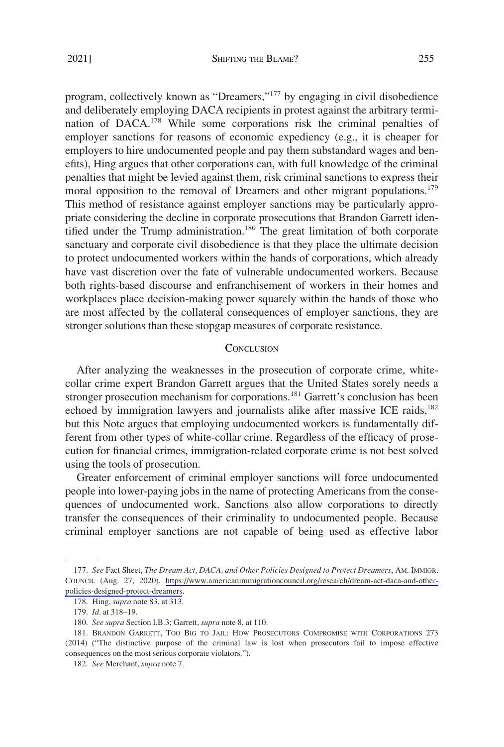<span id="page-28-0"></span>program, collectively known as "Dreamers,"<sup>177</sup> by engaging in civil disobedience and deliberately employing DACA recipients in protest against the arbitrary termination of  $DACA$ <sup>178</sup>. While some corporations risk the criminal penalties of employer sanctions for reasons of economic expediency (e.g., it is cheaper for employers to hire undocumented people and pay them substandard wages and benefits), Hing argues that other corporations can, with full knowledge of the criminal penalties that might be levied against them, risk criminal sanctions to express their moral opposition to the removal of Dreamers and other migrant populations.<sup>179</sup> This method of resistance against employer sanctions may be particularly appropriate considering the decline in corporate prosecutions that Brandon Garrett identified under the Trump administration.<sup>180</sup> The great limitation of both corporate sanctuary and corporate civil disobedience is that they place the ultimate decision to protect undocumented workers within the hands of corporations, which already have vast discretion over the fate of vulnerable undocumented workers. Because both rights-based discourse and enfranchisement of workers in their homes and workplaces place decision-making power squarely within the hands of those who are most affected by the collateral consequences of employer sanctions, they are stronger solutions than these stopgap measures of corporate resistance.

#### **CONCLUSION**

After analyzing the weaknesses in the prosecution of corporate crime, whitecollar crime expert Brandon Garrett argues that the United States sorely needs a stronger prosecution mechanism for corporations.<sup>181</sup> Garrett's conclusion has been echoed by immigration lawyers and journalists alike after massive ICE raids,<sup>182</sup> but this Note argues that employing undocumented workers is fundamentally different from other types of white-collar crime. Regardless of the efficacy of prosecution for financial crimes, immigration-related corporate crime is not best solved using the tools of prosecution.

Greater enforcement of criminal employer sanctions will force undocumented people into lower-paying jobs in the name of protecting Americans from the consequences of undocumented work. Sanctions also allow corporations to directly transfer the consequences of their criminality to undocumented people. Because criminal employer sanctions are not capable of being used as effective labor

*See* Fact Sheet, *The Dream Act, DACA, and Other Policies Designed to Protect Dreamers*, AM. IMMIGR. 177. COUNCIL (Aug. 27, 2020), [https://www.americanimmigrationcouncil.org/research/dream-act-daca-and-other](https://www.americanimmigrationcouncil.org/research/dream-act-daca-and-other-policies-designed-protect-dreamers)[policies-designed-protect-dreamers.](https://www.americanimmigrationcouncil.org/research/dream-act-daca-and-other-policies-designed-protect-dreamers)

<sup>178.</sup> Hing, *supra* note 83, at 313.

<sup>179.</sup> *Id*. at 318–19.

<sup>180.</sup> *See supra* Section I.B.3; Garrett, *supra* note 8, at 110.

<sup>181.</sup> BRANDON GARRETT, TOO BIG TO JAIL: HOW PROSECUTORS COMPROMISE WITH CORPORATIONS 273 (2014) ("The distinctive purpose of the criminal law is lost when prosecutors fail to impose effective consequences on the most serious corporate violators.").

<sup>182.</sup> *See* Merchant, *supra* note 7.